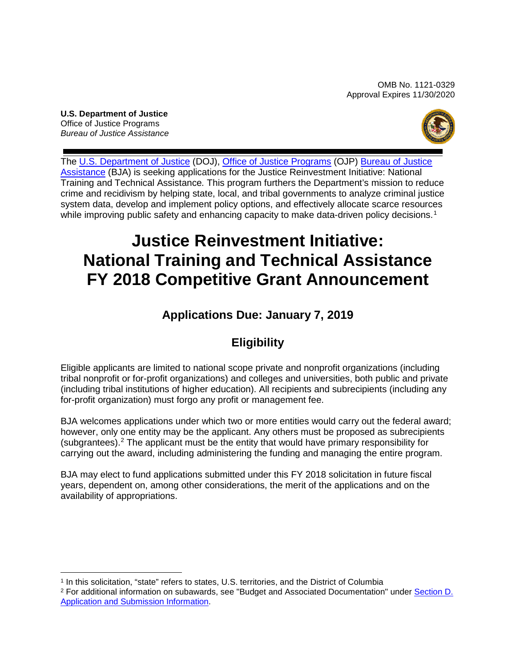OMB No. 1121-0329 Approval Expires 11/30/2020

**U.S. Department of Justice** Office of Justice Programs *Bureau of Justice Assistance*



The [U.S. Department of Justice](https://www.usdoj.gov/) (DOJ), [Office of Justice Programs](https://ojp.gov/) (OJP) Bureau of Justice [Assistance](https://www.bja.gov/) (BJA) is seeking applications for the Justice Reinvestment Initiative: National Training and Technical Assistance*.* This program furthers the Department's mission to reduce crime and recidivism by helping state, local, and tribal governments to analyze criminal justice system data, develop and implement policy options, and effectively allocate scarce resources while improving public safety and enhancing capacity to make data-driven policy decisions.<sup>[1](#page-0-0)</sup>

# **Justice Reinvestment Initiative: National Training and Technical Assistance FY 2018 Competitive Grant Announcement**

# **Applications Due: January 7, 2019**

# **Eligibility**

Eligible applicants are limited to national scope private and nonprofit organizations (including tribal nonprofit or for-profit organizations) and colleges and universities, both public and private (including tribal institutions of higher education). All recipients and subrecipients (including any for-profit organization) must forgo any profit or management fee.

BJA welcomes applications under which two or more entities would carry out the federal award; however, only one entity may be the applicant. Any others must be proposed as subrecipients (subgrantees). $2$  The applicant must be the entity that would have primary responsibility for carrying out the award, including administering the funding and managing the entire program.

BJA may elect to fund applications submitted under this FY 2018 solicitation in future fiscal years, dependent on, among other considerations, the merit of the applications and on the availability of appropriations.

<sup>1</sup> In this solicitation, "state" refers to states, U.S. territories, and the District of Columbia

<span id="page-0-1"></span><span id="page-0-0"></span><sup>2</sup> For additional information on subawards, see "Budget and Associated Documentation" under [Section D.](#page-12-0)  [Application and Submission Information.](#page-12-0)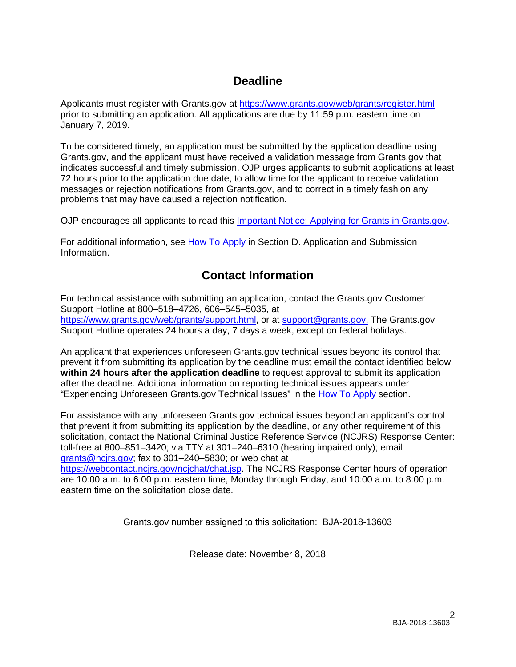# **Deadline**

Applicants must register with Grants.gov at <https://www.grants.gov/web/grants/register.html> prior to submitting an application. All applications are due by 11:59 p.m. eastern time on January 7, 2019.

To be considered timely, an application must be submitted by the application deadline using Grants.gov, and the applicant must have received a validation message from Grants.gov that indicates successful and timely submission. OJP urges applicants to submit applications at least 72 hours prior to the application due date, to allow time for the applicant to receive validation messages or rejection notifications from Grants.gov, and to correct in a timely fashion any problems that may have caused a rejection notification.

OJP encourages all applicants to read this [Important Notice: Applying for](https://ojp.gov/funding/Apply/Grants-govInfo.htm) Grants in Grants.gov.

For additional information, see How [To Apply](#page-23-0) in Section [D. Application and Submission](#page-12-0)  [Information.](#page-12-0)

# **Contact Information**

For technical assistance with submitting an application, contact the Grants.gov Customer Support Hotline at 800–518–4726, 606–545–5035, at [https://www.grants.gov/web/grants/support.html,](https://www.grants.gov/web/grants/support.html) or at [support@grants.gov.](mailto:support@grants.gov) The Grants.gov Support Hotline operates 24 hours a day, 7 days a week, except on federal holidays.

An applicant that experiences unforeseen Grants.gov technical issues beyond its control that prevent it from submitting its application by the deadline must email the contact identified below **within 24 hours after the application deadline** to request approval to submit its application after the deadline. Additional information on reporting technical issues appears under "Experiencing Unforeseen Grants.gov Technical Issues" in the [How To Apply](#page-23-0) section.

For assistance with any unforeseen Grants.gov technical issues beyond an applicant's control that prevent it from submitting its application by the deadline, or any other requirement of this solicitation, contact the National Criminal Justice Reference Service (NCJRS) Response Center: toll-free at 800–851–3420; via TTY at 301–240–6310 (hearing impaired only); email [grants@ncjrs.gov;](mailto:grants@ncjrs.gov) fax to 301–240–5830; or web chat at [https://webcontact.ncjrs.gov/ncjchat/chat.jsp.](https://webcontact.ncjrs.gov/ncjchat/chat.jsp) The NCJRS Response Center hours of operation are 10:00 a.m. to 6:00 p.m. eastern time, Monday through Friday, and 10:00 a.m. to 8:00 p.m. eastern time on the solicitation close date.

Grants.gov number assigned to this solicitation: BJA-2018-13603

Release date: November 8, 2018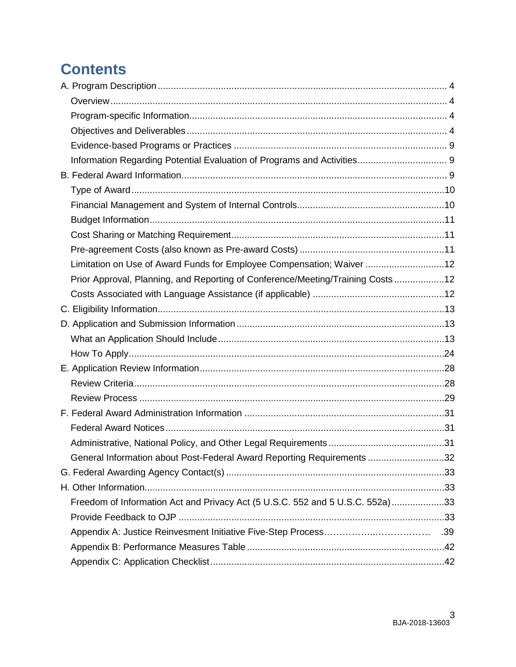# **Contents**

| Limitation on Use of Award Funds for Employee Compensation; Waiver 12          |  |
|--------------------------------------------------------------------------------|--|
| Prior Approval, Planning, and Reporting of Conference/Meeting/Training Costs12 |  |
|                                                                                |  |
|                                                                                |  |
|                                                                                |  |
|                                                                                |  |
|                                                                                |  |
|                                                                                |  |
|                                                                                |  |
|                                                                                |  |
|                                                                                |  |
|                                                                                |  |
|                                                                                |  |
| General Information about Post-Federal Award Reporting Requirements 32         |  |
|                                                                                |  |
|                                                                                |  |
| Freedom of Information Act and Privacy Act (5 U.S.C. 552 and 5 U.S.C. 552a)33  |  |
|                                                                                |  |
|                                                                                |  |
|                                                                                |  |
|                                                                                |  |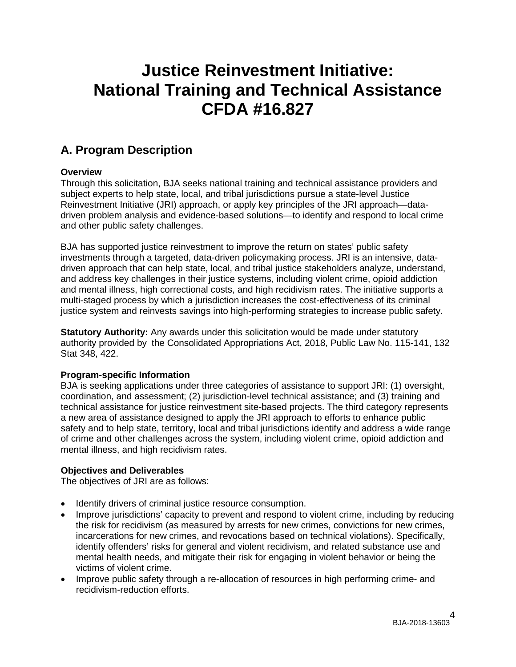# **Justice Reinvestment Initiative: National Training and Technical Assistance CFDA #16.827**

# <span id="page-3-0"></span>**A. Program Description**

## <span id="page-3-1"></span>**Overview**

Through this solicitation, BJA seeks national training and technical assistance providers and subject experts to help state, local, and tribal jurisdictions pursue a state-level Justice Reinvestment Initiative (JRI) approach, or apply key principles of the JRI approach—datadriven problem analysis and evidence-based solutions—to identify and respond to local crime and other public safety challenges.

BJA has supported justice reinvestment to improve the return on states' public safety investments through a targeted, data-driven policymaking process. JRI is an intensive, datadriven approach that can help state, local, and tribal justice stakeholders analyze, understand, and address key challenges in their justice systems, including violent crime, opioid addiction and mental illness, high correctional costs, and high recidivism rates. The initiative supports a multi-staged process by which a jurisdiction increases the cost-effectiveness of its criminal justice system and reinvests savings into high-performing strategies to increase public safety.

**Statutory Authority:** Any awards under this solicitation would be made under statutory authority provided by the Consolidated Appropriations Act, 2018, Public Law No. 115-141, 132 Stat 348, 422.

## <span id="page-3-2"></span>**Program-specific Information**

BJA is seeking applications under three categories of assistance to support JRI: (1) oversight, coordination, and assessment; (2) jurisdiction-level technical assistance; and (3) training and technical assistance for justice reinvestment site-based projects. The third category represents a new area of assistance designed to apply the JRI approach to efforts to enhance public safety and to help state, territory, local and tribal jurisdictions identify and address a wide range of crime and other challenges across the system, including violent crime, opioid addiction and mental illness, and high recidivism rates.

## <span id="page-3-3"></span>**Objectives and Deliverables**

The objectives of JRI are as follows:

- Identify drivers of criminal justice resource consumption.
- Improve jurisdictions' capacity to prevent and respond to violent crime, including by reducing the risk for recidivism (as measured by arrests for new crimes, convictions for new crimes, incarcerations for new crimes, and revocations based on technical violations). Specifically, identify offenders' risks for general and violent recidivism, and related substance use and mental health needs, and mitigate their risk for engaging in violent behavior or being the victims of violent crime.
- Improve public safety through a re-allocation of resources in high performing crime- and recidivism-reduction efforts.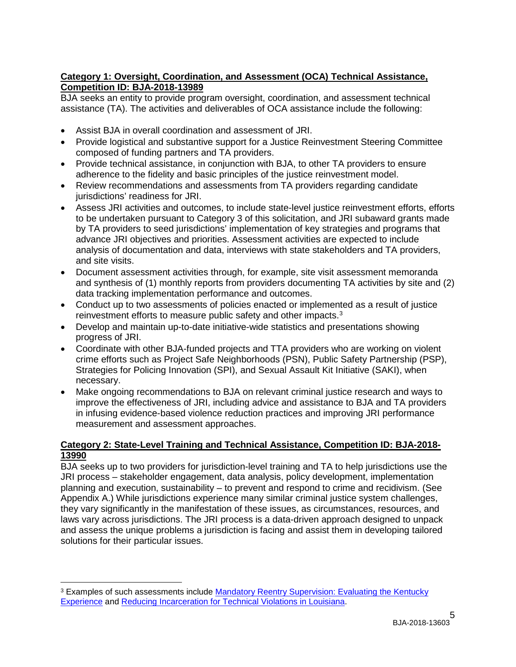## **Category 1: Oversight, Coordination, and Assessment (OCA) Technical Assistance, Competition ID: BJA-2018-13989**

BJA seeks an entity to provide program oversight, coordination, and assessment technical assistance (TA). The activities and deliverables of OCA assistance include the following:

- Assist BJA in overall coordination and assessment of JRI.
- Provide logistical and substantive support for a Justice Reinvestment Steering Committee composed of funding partners and TA providers.
- Provide technical assistance, in conjunction with BJA, to other TA providers to ensure adherence to the fidelity and basic principles of the justice reinvestment model.
- Review recommendations and assessments from TA providers regarding candidate jurisdictions' readiness for JRI.
- Assess JRI activities and outcomes, to include state-level justice reinvestment efforts, efforts to be undertaken pursuant to Category 3 of this solicitation, and JRI subaward grants made by TA providers to seed jurisdictions' implementation of key strategies and programs that advance JRI objectives and priorities. Assessment activities are expected to include analysis of documentation and data, interviews with state stakeholders and TA providers, and site visits.
- Document assessment activities through, for example, site visit assessment memoranda and synthesis of (1) monthly reports from providers documenting TA activities by site and (2) data tracking implementation performance and outcomes.
- Conduct up to two assessments of policies enacted or implemented as a result of justice reinvestment efforts to measure public safety and other impacts.<sup>[3](#page-4-0)</sup>
- Develop and maintain up-to-date initiative-wide statistics and presentations showing progress of JRI.
- Coordinate with other BJA-funded projects and TTA providers who are working on violent crime efforts such as Project Safe Neighborhoods (PSN), Public Safety Partnership (PSP), Strategies for Policing Innovation (SPI), and Sexual Assault Kit Initiative (SAKI), when necessary.
- Make ongoing recommendations to BJA on relevant criminal justice research and ways to improve the effectiveness of JRI, including advice and assistance to BJA and TA providers in infusing evidence-based violence reduction practices and improving JRI performance measurement and assessment approaches.

## **Category 2: State-Level Training and Technical Assistance, Competition ID: BJA-2018- 13990**

BJA seeks up to two providers for jurisdiction-level training and TA to help jurisdictions use the JRI process – stakeholder engagement, data analysis, policy development, implementation planning and execution, sustainability – to prevent and respond to crime and recidivism. (See Appendix A.) While jurisdictions experience many similar criminal justice system challenges, they vary significantly in the manifestation of these issues, as circumstances, resources, and laws vary across jurisdictions. The JRI process is a data-driven approach designed to unpack and assess the unique problems a jurisdiction is facing and assist them in developing tailored solutions for their particular issues.

 $\overline{a}$ 

<span id="page-4-0"></span><sup>&</sup>lt;sup>3</sup> Examples of such assessments include Mandatory Reentry Supervision: Evaluating the Kentucky [Experience](http://www.pewtrusts.org/%7E/media/Assets/2014/06/PSPP_Kentucky_brief.pdf) and [Reducing Incarceration for Technical Violations in Louisiana.](http://www.pewtrusts.org/%7E/media/assets/2014/11/psppreducingincarcerationfortechnicalviolationsinlouisiana.pdf)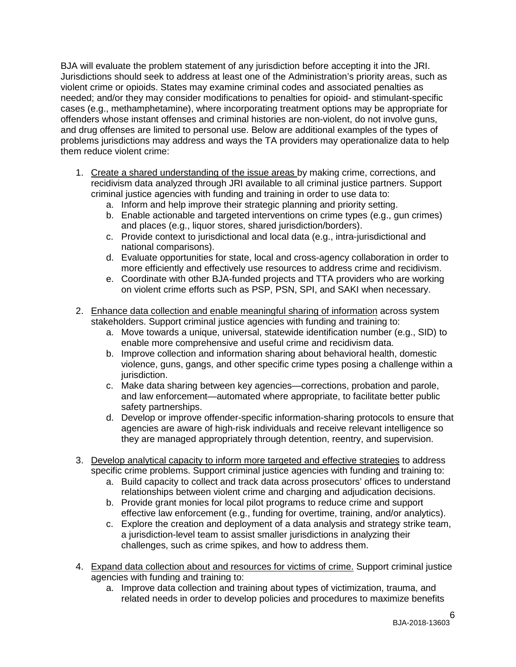BJA will evaluate the problem statement of any jurisdiction before accepting it into the JRI. Jurisdictions should seek to address at least one of the Administration's priority areas, such as violent crime or opioids. States may examine criminal codes and associated penalties as needed; and/or they may consider modifications to penalties for opioid- and stimulant-specific cases (e.g., methamphetamine), where incorporating treatment options may be appropriate for offenders whose instant offenses and criminal histories are non-violent, do not involve guns, and drug offenses are limited to personal use. Below are additional examples of the types of problems jurisdictions may address and ways the TA providers may operationalize data to help them reduce violent crime:

- 1. Create a shared understanding of the issue areas by making crime, corrections, and recidivism data analyzed through JRI available to all criminal justice partners. Support criminal justice agencies with funding and training in order to use data to:
	- a. Inform and help improve their strategic planning and priority setting.
	- b. Enable actionable and targeted interventions on crime types (e.g., gun crimes) and places (e.g., liquor stores, shared jurisdiction/borders).
	- c. Provide context to jurisdictional and local data (e.g., intra-jurisdictional and national comparisons).
	- d. Evaluate opportunities for state, local and cross-agency collaboration in order to more efficiently and effectively use resources to address crime and recidivism.
	- e. Coordinate with other BJA-funded projects and TTA providers who are working on violent crime efforts such as PSP, PSN, SPI, and SAKI when necessary.
- 2. Enhance data collection and enable meaningful sharing of information across system stakeholders. Support criminal justice agencies with funding and training to:
	- a. Move towards a unique, universal, statewide identification number (e.g., SID) to enable more comprehensive and useful crime and recidivism data.
	- b. Improve collection and information sharing about behavioral health, domestic violence, guns, gangs, and other specific crime types posing a challenge within a jurisdiction.
	- c. Make data sharing between key agencies—corrections, probation and parole, and law enforcement—automated where appropriate, to facilitate better public safety partnerships.
	- d. Develop or improve offender-specific information-sharing protocols to ensure that agencies are aware of high-risk individuals and receive relevant intelligence so they are managed appropriately through detention, reentry, and supervision.
- 3. Develop analytical capacity to inform more targeted and effective strategies to address specific crime problems. Support criminal justice agencies with funding and training to:
	- a. Build capacity to collect and track data across prosecutors' offices to understand relationships between violent crime and charging and adjudication decisions.
	- b. Provide grant monies for local pilot programs to reduce crime and support effective law enforcement (e.g., funding for overtime, training, and/or analytics).
	- c. Explore the creation and deployment of a data analysis and strategy strike team, a jurisdiction-level team to assist smaller jurisdictions in analyzing their challenges, such as crime spikes, and how to address them.
- 4. Expand data collection about and resources for victims of crime. Support criminal justice agencies with funding and training to:
	- a. Improve data collection and training about types of victimization, trauma, and related needs in order to develop policies and procedures to maximize benefits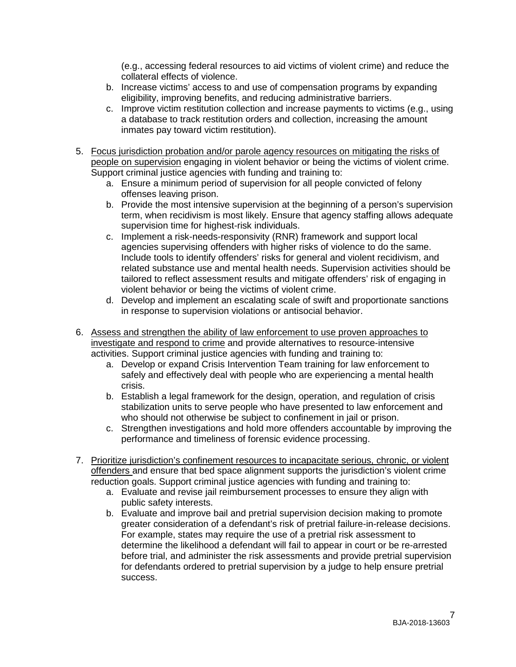(e.g., accessing federal resources to aid victims of violent crime) and reduce the collateral effects of violence.

- b. Increase victims' access to and use of compensation programs by expanding eligibility, improving benefits, and reducing administrative barriers.
- c. Improve victim restitution collection and increase payments to victims (e.g., using a database to track restitution orders and collection, increasing the amount inmates pay toward victim restitution).
- 5. Focus jurisdiction probation and/or parole agency resources on mitigating the risks of people on supervision engaging in violent behavior or being the victims of violent crime. Support criminal justice agencies with funding and training to:
	- a. Ensure a minimum period of supervision for all people convicted of felony offenses leaving prison.
	- b. Provide the most intensive supervision at the beginning of a person's supervision term, when recidivism is most likely. Ensure that agency staffing allows adequate supervision time for highest-risk individuals.
	- c. Implement a risk-needs-responsivity (RNR) framework and support local agencies supervising offenders with higher risks of violence to do the same. Include tools to identify offenders' risks for general and violent recidivism, and related substance use and mental health needs. Supervision activities should be tailored to reflect assessment results and mitigate offenders' risk of engaging in violent behavior or being the victims of violent crime.
	- d. Develop and implement an escalating scale of swift and proportionate sanctions in response to supervision violations or antisocial behavior.
- 6. Assess and strengthen the ability of law enforcement to use proven approaches to investigate and respond to crime and provide alternatives to resource-intensive activities. Support criminal justice agencies with funding and training to:
	- a. Develop or expand Crisis Intervention Team training for law enforcement to safely and effectively deal with people who are experiencing a mental health crisis.
	- b. Establish a legal framework for the design, operation, and regulation of crisis stabilization units to serve people who have presented to law enforcement and who should not otherwise be subject to confinement in jail or prison.
	- c. Strengthen investigations and hold more offenders accountable by improving the performance and timeliness of forensic evidence processing.
- 7. Prioritize jurisdiction's confinement resources to incapacitate serious, chronic, or violent offenders and ensure that bed space alignment supports the jurisdiction's violent crime reduction goals. Support criminal justice agencies with funding and training to:
	- a. Evaluate and revise jail reimbursement processes to ensure they align with public safety interests.
	- b. Evaluate and improve bail and pretrial supervision decision making to promote greater consideration of a defendant's risk of pretrial failure-in-release decisions. For example, states may require the use of a pretrial risk assessment to determine the likelihood a defendant will fail to appear in court or be re-arrested before trial, and administer the risk assessments and provide pretrial supervision for defendants ordered to pretrial supervision by a judge to help ensure pretrial success.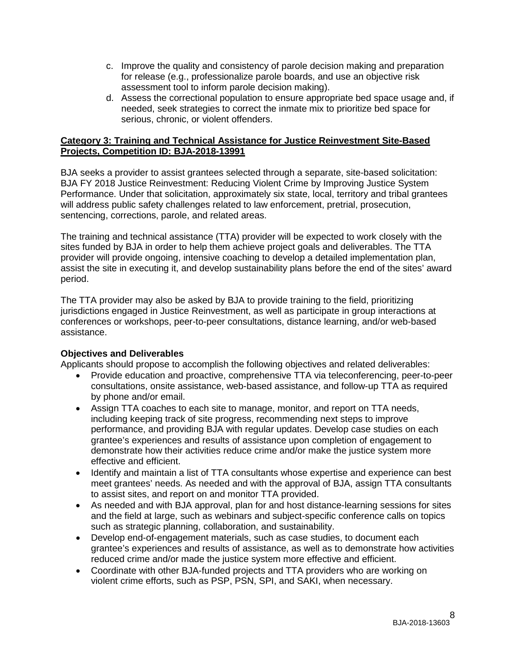- c. Improve the quality and consistency of parole decision making and preparation for release (e.g., professionalize parole boards, and use an objective risk assessment tool to inform parole decision making).
- d. Assess the correctional population to ensure appropriate bed space usage and, if needed, seek strategies to correct the inmate mix to prioritize bed space for serious, chronic, or violent offenders.

## **Category 3: Training and Technical Assistance for Justice Reinvestment Site-Based Projects, Competition ID: BJA-2018-13991**

BJA seeks a provider to assist grantees selected through a separate, site-based solicitation: BJA FY 2018 Justice Reinvestment: Reducing Violent Crime by Improving Justice System Performance. Under that solicitation, approximately six state, local, territory and tribal grantees will address public safety challenges related to law enforcement, pretrial, prosecution, sentencing, corrections, parole, and related areas.

The training and technical assistance (TTA) provider will be expected to work closely with the sites funded by BJA in order to help them achieve project goals and deliverables. The TTA provider will provide ongoing, intensive coaching to develop a detailed implementation plan, assist the site in executing it, and develop sustainability plans before the end of the sites' award period.

The TTA provider may also be asked by BJA to provide training to the field, prioritizing jurisdictions engaged in Justice Reinvestment, as well as participate in group interactions at conferences or workshops, peer-to-peer consultations, distance learning, and/or web-based assistance.

## **Objectives and Deliverables**

Applicants should propose to accomplish the following objectives and related deliverables:

- Provide education and proactive, comprehensive TTA via teleconferencing, peer-to-peer consultations, onsite assistance, web-based assistance, and follow-up TTA as required by phone and/or email.
- Assign TTA coaches to each site to manage, monitor, and report on TTA needs, including keeping track of site progress, recommending next steps to improve performance, and providing BJA with regular updates. Develop case studies on each grantee's experiences and results of assistance upon completion of engagement to demonstrate how their activities reduce crime and/or make the justice system more effective and efficient.
- Identify and maintain a list of TTA consultants whose expertise and experience can best meet grantees' needs. As needed and with the approval of BJA, assign TTA consultants to assist sites, and report on and monitor TTA provided.
- As needed and with BJA approval, plan for and host distance-learning sessions for sites and the field at large, such as webinars and subject-specific conference calls on topics such as strategic planning, collaboration, and sustainability.
- Develop end-of-engagement materials, such as case studies, to document each grantee's experiences and results of assistance, as well as to demonstrate how activities reduced crime and/or made the justice system more effective and efficient.
- Coordinate with other BJA-funded projects and TTA providers who are working on violent crime efforts, such as PSP, PSN, SPI, and SAKI, when necessary.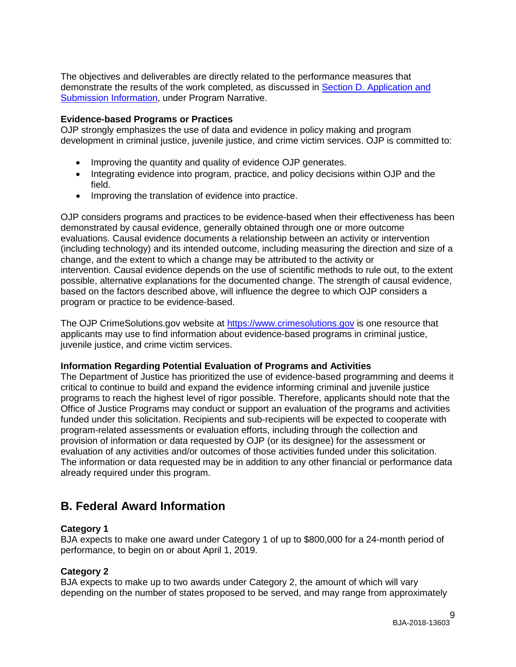The objectives and deliverables are directly related to the performance measures that demonstrate the results of the work completed, as discussed in [Section D. Application and](#page-12-0)  [Submission Information,](#page-12-0) under Program Narrative.

#### <span id="page-8-0"></span>**Evidence-based Programs or Practices**

OJP strongly emphasizes the use of data and evidence in policy making and program development in criminal justice, juvenile justice, and crime victim services. OJP is committed to:

- Improving the quantity and quality of evidence OJP generates.
- Integrating evidence into program, practice, and policy decisions within OJP and the field.
- Improving the translation of evidence into practice.

OJP considers programs and practices to be evidence-based when their effectiveness has been demonstrated by causal evidence, generally obtained through one or more outcome evaluations. Causal evidence documents a relationship between an activity or intervention (including technology) and its intended outcome, including measuring the direction and size of a change, and the extent to which a change may be attributed to the activity or intervention. Causal evidence depends on the use of scientific methods to rule out, to the extent possible, alternative explanations for the documented change. The strength of causal evidence, based on the factors described above, will influence the degree to which OJP considers a program or practice to be evidence-based.

The OJP CrimeSolutions.gov website at [https://www.crimesolutions.gov](https://www.crimesolutions.gov/) is one resource that applicants may use to find information about evidence-based programs in criminal justice, juvenile justice, and crime victim services.

#### <span id="page-8-1"></span>**Information Regarding Potential Evaluation of Programs and Activities**

The Department of Justice has prioritized the use of evidence-based programming and deems it critical to continue to build and expand the evidence informing criminal and juvenile justice programs to reach the highest level of rigor possible. Therefore, applicants should note that the Office of Justice Programs may conduct or support an evaluation of the programs and activities funded under this solicitation. Recipients and sub-recipients will be expected to cooperate with program-related assessments or evaluation efforts, including through the collection and provision of information or data requested by OJP (or its designee) for the assessment or evaluation of any activities and/or outcomes of those activities funded under this solicitation. The information or data requested may be in addition to any other financial or performance data already required under this program.

## <span id="page-8-2"></span>**B. Federal Award Information**

## **Category 1**

BJA expects to make one award under Category 1 of up to \$800,000 for a 24-month period of performance, to begin on or about April 1, 2019.

## **Category 2**

BJA expects to make up to two awards under Category 2, the amount of which will vary depending on the number of states proposed to be served, and may range from approximately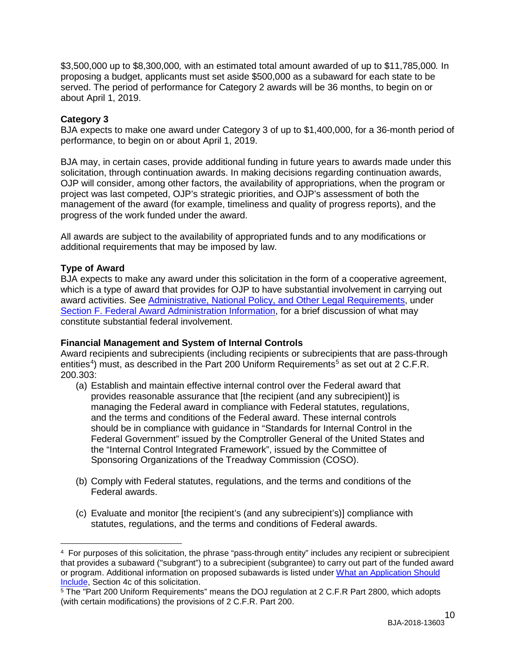\$3,500,000 up to \$8,300,000*,* with an estimated total amount awarded of up to \$11,785,000*.* In proposing a budget, applicants must set aside \$500,000 as a subaward for each state to be served. The period of performance for Category 2 awards will be 36 months, to begin on or about April 1, 2019.

## **Category 3**

BJA expects to make one award under Category 3 of up to \$1,400,000, for a 36-month period of performance, to begin on or about April 1, 2019.

BJA may, in certain cases, provide additional funding in future years to awards made under this solicitation, through continuation awards. In making decisions regarding continuation awards, OJP will consider, among other factors, the availability of appropriations, when the program or project was last competed, OJP's strategic priorities, and OJP's assessment of both the management of the award (for example, timeliness and quality of progress reports), and the progress of the work funded under the award.

All awards are subject to the availability of appropriated funds and to any modifications or additional requirements that may be imposed by law.

## <span id="page-9-0"></span>**Type of Award**

 $\overline{a}$ 

BJA expects to make any award under this solicitation in the form of a cooperative agreement, which is a type of award that provides for OJP to have substantial involvement in carrying out award activities. See [Administrative, National Policy, and Other Legal Requirements,](#page-30-3) under [Section F. Federal Award Administration Information,](#page-30-3) for a brief discussion of what may constitute substantial federal involvement.

## <span id="page-9-1"></span>**Financial Management and System of Internal Controls**

Award recipients and subrecipients (including recipients or subrecipients that are pass-through entities<sup>[4](#page-9-2)</sup>) must, as described in the Part 200 Uniform Requirements<sup>[5](#page-9-3)</sup> as set out at 2 C.F.R. 200.303:

- (a) Establish and maintain effective internal control over the Federal award that provides reasonable assurance that [the recipient (and any subrecipient)] is managing the Federal award in compliance with Federal statutes, regulations, and the terms and conditions of the Federal award. These internal controls should be in compliance with guidance in "Standards for Internal Control in the Federal Government" issued by the Comptroller General of the United States and the "Internal Control Integrated Framework", issued by the Committee of Sponsoring Organizations of the Treadway Commission (COSO).
- (b) Comply with Federal statutes, regulations, and the terms and conditions of the Federal awards.
- (c) Evaluate and monitor [the recipient's (and any subrecipient's)] compliance with statutes, regulations, and the terms and conditions of Federal awards.

<span id="page-9-2"></span><sup>4</sup> For purposes of this solicitation, the phrase "pass-through entity" includes any recipient or subrecipient that provides a subaward ("subgrant") to a subrecipient (subgrantee) to carry out part of the funded award or program. Additional information on proposed subawards is listed under [What an Application Should](#page-12-2)  [Include,](#page-12-2) Section 4c of this solicitation.

<span id="page-9-3"></span><sup>5</sup> The "Part 200 Uniform Requirements" means the DOJ regulation at 2 C.F.R Part 2800, which adopts (with certain modifications) the provisions of 2 C.F.R. Part 200.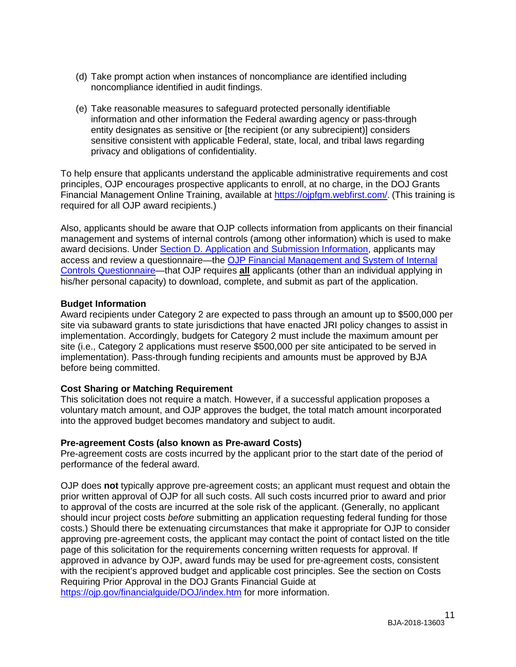- (d) Take prompt action when instances of noncompliance are identified including noncompliance identified in audit findings.
- (e) Take reasonable measures to safeguard protected personally identifiable information and other information the Federal awarding agency or pass-through entity designates as sensitive or [the recipient (or any subrecipient)] considers sensitive consistent with applicable Federal, state, local, and tribal laws regarding privacy and obligations of confidentiality.

To help ensure that applicants understand the applicable administrative requirements and cost principles, OJP encourages prospective applicants to enroll, at no charge, in the DOJ Grants Financial Management Online Training, available at [https://ojpfgm.webfirst.com/.](https://ojpfgm.webfirst.com/) (This training is required for all OJP award recipients.)

Also, applicants should be aware that OJP collects information from applicants on their financial management and systems of internal controls (among other information) which is used to make award decisions. Under [Section D. Application and Submission Information,](#page-12-0) applicants may access and review a questionnaire—the [OJP Financial Management and System of Internal](https://ojp.gov/funding/Apply/Resources/FinancialCapability.pdf)  [Controls Questionnaire—](https://ojp.gov/funding/Apply/Resources/FinancialCapability.pdf)that OJP requires **all** applicants (other than an individual applying in his/her personal capacity) to download, complete, and submit as part of the application.

#### <span id="page-10-0"></span>**Budget Information**

Award recipients under Category 2 are expected to pass through an amount up to \$500,000 per site via subaward grants to state jurisdictions that have enacted JRI policy changes to assist in implementation. Accordingly, budgets for Category 2 must include the maximum amount per site (i.e., Category 2 applications must reserve \$500,000 per site anticipated to be served in implementation). Pass-through funding recipients and amounts must be approved by BJA before being committed.

## <span id="page-10-1"></span>**Cost Sharing or Matching Requirement**

This solicitation does not require a match. However, if a successful application proposes a voluntary match amount, and OJP approves the budget, the total match amount incorporated into the approved budget becomes mandatory and subject to audit.

#### <span id="page-10-2"></span>**Pre-agreement Costs (also known as Pre-award Costs)**

Pre-agreement costs are costs incurred by the applicant prior to the start date of the period of performance of the federal award.

OJP does **not** typically approve pre-agreement costs; an applicant must request and obtain the prior written approval of OJP for all such costs. All such costs incurred prior to award and prior to approval of the costs are incurred at the sole risk of the applicant. (Generally, no applicant should incur project costs *before* submitting an application requesting federal funding for those costs.) Should there be extenuating circumstances that make it appropriate for OJP to consider approving pre-agreement costs, the applicant may contact the point of contact listed on the title page of this solicitation for the requirements concerning written requests for approval. If approved in advance by OJP, award funds may be used for pre-agreement costs, consistent with the recipient's approved budget and applicable cost principles. See the section on Costs Requiring Prior Approval in the DOJ Grants Financial Guide at <https://ojp.gov/financialguide/DOJ/index.htm> for more information.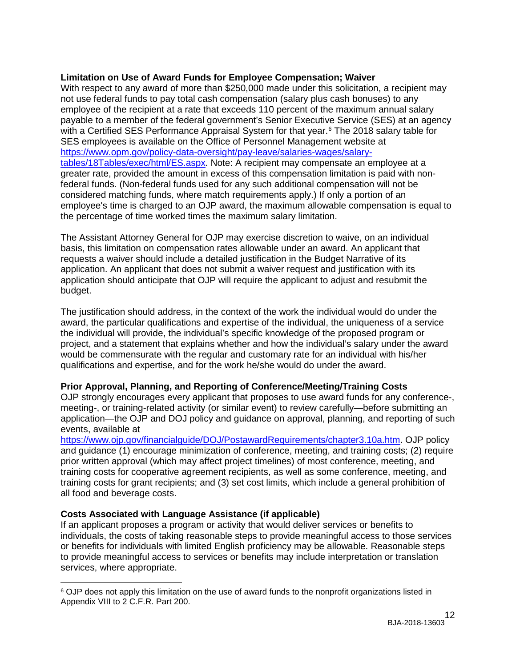## <span id="page-11-0"></span>**Limitation on Use of Award Funds for Employee Compensation; Waiver**

With respect to any award of more than \$250,000 made under this solicitation, a recipient may not use federal funds to pay total cash compensation (salary plus cash bonuses) to any employee of the recipient at a rate that exceeds 110 percent of the maximum annual salary payable to a member of the federal government's Senior Executive Service (SES) at an agency with a Certified SES Performance Appraisal System for that year.<sup>[6](#page-11-3)</sup> The 2018 salary table for SES employees is available on the Office of Personnel Management website at [https://www.opm.gov/policy-data-oversight/pay-leave/salaries-wages/salary](https://www.opm.gov/policy-data-oversight/pay-leave/salaries-wages/salary-tables/18Tables/exec/html/ES.aspx)[tables/18Tables/exec/html/ES.aspx.](https://www.opm.gov/policy-data-oversight/pay-leave/salaries-wages/salary-tables/18Tables/exec/html/ES.aspx) Note: A recipient may compensate an employee at a greater rate, provided the amount in excess of this compensation limitation is paid with nonfederal funds. (Non-federal funds used for any such additional compensation will not be considered matching funds, where match requirements apply.) If only a portion of an employee's time is charged to an OJP award, the maximum allowable compensation is equal to the percentage of time worked times the maximum salary limitation.

The Assistant Attorney General for OJP may exercise discretion to waive, on an individual basis, this limitation on compensation rates allowable under an award. An applicant that requests a waiver should include a detailed justification in the Budget Narrative of its application. An applicant that does not submit a waiver request and justification with its application should anticipate that OJP will require the applicant to adjust and resubmit the budget.

The justification should address, in the context of the work the individual would do under the award, the particular qualifications and expertise of the individual, the uniqueness of a service the individual will provide, the individual's specific knowledge of the proposed program or project, and a statement that explains whether and how the individual's salary under the award would be commensurate with the regular and customary rate for an individual with his/her qualifications and expertise, and for the work he/she would do under the award.

## <span id="page-11-1"></span>**Prior Approval, Planning, and Reporting of Conference/Meeting/Training Costs**

OJP strongly encourages every applicant that proposes to use award funds for any conference-, meeting-, or training-related activity (or similar event) to review carefully—before submitting an application—the OJP and DOJ policy and guidance on approval, planning, and reporting of such events, available at

[https://www.ojp.gov/financialguide/DOJ/PostawardRequirements/chapter3.10a.htm.](https://www.ojp.gov/financialguide/DOJ/PostawardRequirements/chapter3.10a.htm) OJP policy and guidance (1) encourage minimization of conference, meeting, and training costs; (2) require prior written approval (which may affect project timelines) of most conference, meeting, and training costs for cooperative agreement recipients, as well as some conference, meeting, and training costs for grant recipients; and (3) set cost limits, which include a general prohibition of all food and beverage costs.

## <span id="page-11-2"></span>**Costs Associated with Language Assistance (if applicable)**

 $\overline{a}$ 

If an applicant proposes a program or activity that would deliver services or benefits to individuals, the costs of taking reasonable steps to provide meaningful access to those services or benefits for individuals with limited English proficiency may be allowable. Reasonable steps to provide meaningful access to services or benefits may include interpretation or translation services, where appropriate.

<span id="page-11-3"></span><sup>&</sup>lt;sup>6</sup> OJP does not apply this limitation on the use of award funds to the nonprofit organizations listed in Appendix VIII to 2 C.F.R. Part 200.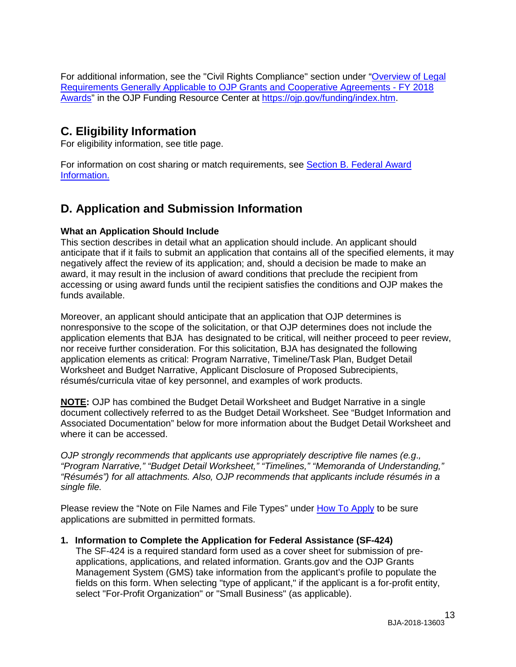For additional information, see the "Civil Rights Compliance" section under ["Overview of Legal](https://ojp.gov/funding/Explore/LegalOverview/index.htm)  [Requirements Generally Applicable to OJP Grants and Cooperative Agreements -](https://ojp.gov/funding/Explore/LegalOverview/index.htm) FY 2018 [Awards"](https://ojp.gov/funding/Explore/LegalOverview/index.htm) in the OJP Funding Resource Center at [https://ojp.gov/funding/index.htm.](https://ojp.gov/funding/index.htm)

# <span id="page-12-1"></span>**C. Eligibility Information**

For eligibility information, see title page.

For information on cost sharing or match requirements, see Section [B. Federal Award](#page-8-2)  [Information.](#page-8-2)

# <span id="page-12-0"></span>**D. Application and Submission Information**

## <span id="page-12-2"></span>**What an Application Should Include**

This section describes in detail what an application should include. An applicant should anticipate that if it fails to submit an application that contains all of the specified elements, it may negatively affect the review of its application; and, should a decision be made to make an award, it may result in the inclusion of award conditions that preclude the recipient from accessing or using award funds until the recipient satisfies the conditions and OJP makes the funds available.

Moreover, an applicant should anticipate that an application that OJP determines is nonresponsive to the scope of the solicitation, or that OJP determines does not include the application elements that BJA has designated to be critical, will neither proceed to peer review, nor receive further consideration. For this solicitation, BJA has designated the following application elements as critical: Program Narrative, Timeline/Task Plan, Budget Detail Worksheet and Budget Narrative, Applicant Disclosure of Proposed Subrecipients, résumés/curricula vitae of key personnel, and examples of work products.

**NOTE:** OJP has combined the Budget Detail Worksheet and Budget Narrative in a single document collectively referred to as the Budget Detail Worksheet. See "Budget Information and Associated Documentation" below for more information about the Budget Detail Worksheet and where it can be accessed.

*OJP strongly recommends that applicants use appropriately descriptive file names (e.g*.*, "Program Narrative," "Budget Detail Worksheet," "Timelines," "Memoranda of Understanding," "Résumés") for all attachments. Also, OJP recommends that applicants include résumés in a single file.*

Please review the "Note on File Names and File Types" under [How To Apply](#page-23-0) to be sure applications are submitted in permitted formats.

## <span id="page-12-3"></span>**1. Information to Complete the Application for Federal Assistance (SF-424)**

The SF-424 is a required standard form used as a cover sheet for submission of preapplications, applications, and related information. Grants.gov and the OJP Grants Management System (GMS) take information from the applicant's profile to populate the fields on this form. When selecting "type of applicant," if the applicant is a for-profit entity, select "For-Profit Organization" or "Small Business" (as applicable).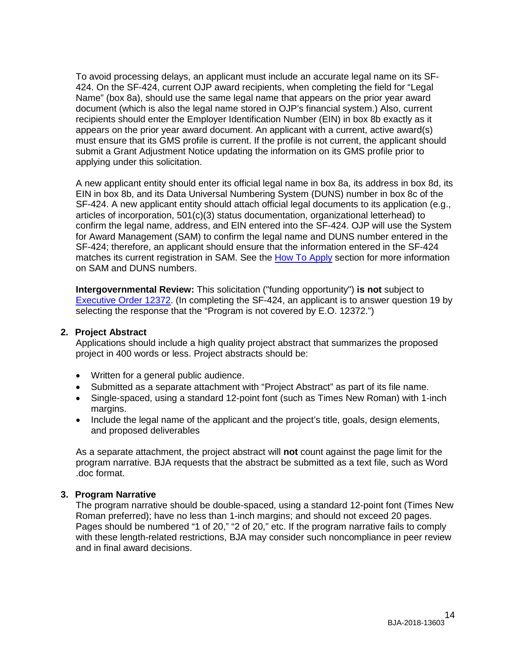To avoid processing delays, an applicant must include an accurate legal name on its SF-424. On the SF-424, current OJP award recipients, when completing the field for "Legal Name" (box 8a), should use the same legal name that appears on the prior year award document (which is also the legal name stored in OJP's financial system.) Also, current recipients should enter the Employer Identification Number (EIN) in box 8b exactly as it appears on the prior year award document. An applicant with a current, active award(s) must ensure that its GMS profile is current. If the profile is not current, the applicant should submit a Grant Adjustment Notice updating the information on its GMS profile prior to applying under this solicitation.

A new applicant entity should enter its official legal name in box 8a, its address in box 8d, its EIN in box 8b, and its Data Universal Numbering System (DUNS) number in box 8c of the SF-424. A new applicant entity should attach official legal documents to its application (e.g., articles of incorporation, 501(c)(3) status documentation, organizational letterhead) to confirm the legal name, address, and EIN entered into the SF-424. OJP will use the System for Award Management (SAM) to confirm the legal name and DUNS number entered in the SF-424; therefore, an applicant should ensure that the information entered in the SF-424 matches its current registration in SAM. See the [How To Apply](#page-23-0) section for more information on SAM and DUNS numbers.

**Intergovernmental Review:** This solicitation ("funding opportunity") **is not** subject to [Executive Order 12372.](https://www.archives.gov/federal-register/codification/executive-order/12372.html) (In completing the SF-424, an applicant is to answer question 19 by selecting the response that the "Program is not covered by E.O. 12372.")

#### <span id="page-13-0"></span>**2. Project Abstract**

Applications should include a high quality project abstract that summarizes the proposed project in 400 words or less. Project abstracts should be:

- Written for a general public audience.
- Submitted as a separate attachment with "Project Abstract" as part of its file name.
- Single-spaced, using a standard 12-point font (such as Times New Roman) with 1-inch margins.
- Include the legal name of the applicant and the project's title, goals, design elements, and proposed deliverables

As a separate attachment, the project abstract will **not** count against the page limit for the program narrative. BJA requests that the abstract be submitted as a text file, such as Word .doc format.

#### <span id="page-13-1"></span>**3. Program Narrative**

The program narrative should be double-spaced, using a standard 12-point font (Times New Roman preferred); have no less than 1-inch margins; and should not exceed 20 pages. Pages should be numbered "1 of 20," "2 of 20," etc. If the program narrative fails to comply with these length-related restrictions, BJA may consider such noncompliance in peer review and in final award decisions.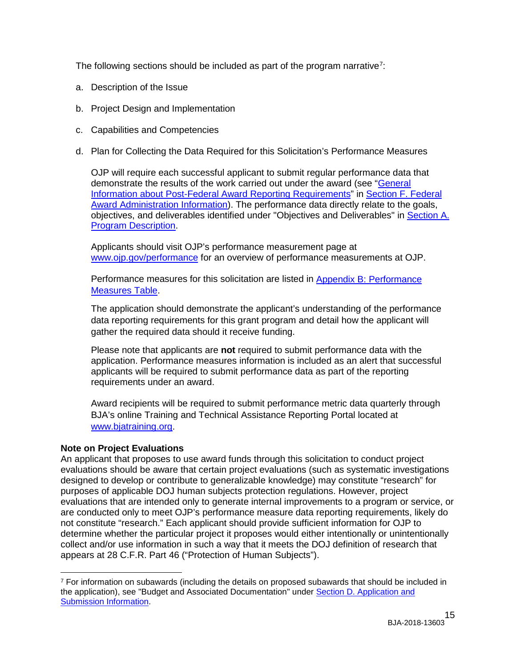The following sections should be included as part of the program narrative<sup>[7](#page-14-0)</sup>:

- a. Description of the Issue
- b. Project Design and Implementation
- c. Capabilities and Competencies
- d. Plan for Collecting the Data Required for this Solicitation's Performance Measures

OJP will require each successful applicant to submit regular performance data that demonstrate the results of the work carried out under the award (see ["General](#page-31-0)  [Information about Post-Federal Award Reporting Requirements"](#page-31-0) in [Section F. Federal](#page-30-3)  Award [Administration Information\)](#page-30-3). The performance data directly relate to the goals, objectives, and deliverables identified under "Objectives and Deliverables" in [Section A.](#page-3-0)  [Program Description.](#page-3-0)

Applicants should visit OJP's performance measurement page at [www.ojp.gov/performance](https://www.ojp.gov/performance) for an overview of performance measurements at OJP.

Performance measures for this solicitation are listed in [Appendix B: Performance](#page-37-0)  [Measures Table.](#page-37-0)

The application should demonstrate the applicant's understanding of the performance data reporting requirements for this grant program and detail how the applicant will gather the required data should it receive funding.

Please note that applicants are **not** required to submit performance data with the application. Performance measures information is included as an alert that successful applicants will be required to submit performance data as part of the reporting requirements under an award.

Award recipients will be required to submit performance metric data quarterly through BJA's online Training and Technical Assistance Reporting Portal located at [www.bjatraining.org.](http://www.bjatraining.org/)

## **Note on Project Evaluations**

An applicant that proposes to use award funds through this solicitation to conduct project evaluations should be aware that certain project evaluations (such as systematic investigations designed to develop or contribute to generalizable knowledge) may constitute "research" for purposes of applicable DOJ human subjects protection regulations. However, project evaluations that are intended only to generate internal improvements to a program or service, or are conducted only to meet OJP's performance measure data reporting requirements, likely do not constitute "research." Each applicant should provide sufficient information for OJP to determine whether the particular project it proposes would either intentionally or unintentionally collect and/or use information in such a way that it meets the DOJ definition of research that appears at 28 C.F.R. Part 46 ("Protection of Human Subjects").

<span id="page-14-0"></span> $\overline{a}$  $7$  For information on subawards (including the details on proposed subawards that should be included in the application), see "Budget and Associated Documentation" under [Section D. Application and](#page-12-0)  [Submission Information.](#page-12-0)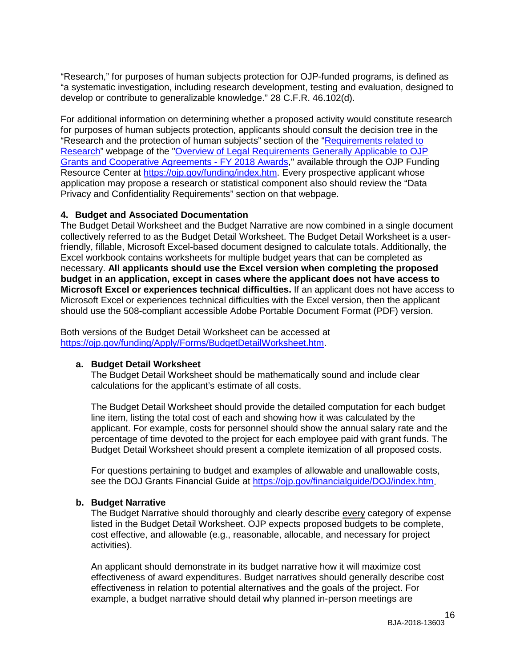"Research," for purposes of human subjects protection for OJP-funded programs, is defined as "a systematic investigation, including research development, testing and evaluation, designed to develop or contribute to generalizable knowledge." 28 C.F.R. 46.102(d).

For additional information on determining whether a proposed activity would constitute research for purposes of human subjects protection, applicants should consult the decision tree in the "Research and the protection of human subjects" section of the ["Requirements related to](https://ojp.gov/funding/Explore/SolicitationRequirements/EvidenceResearchEvaluationRequirements.htm)  [Research"](https://ojp.gov/funding/Explore/SolicitationRequirements/EvidenceResearchEvaluationRequirements.htm) webpage of the ["Overview of Legal Requirements Generally Applicable to OJP](https://ojp.gov/funding/Explore/LegalOverview/index.htm)  [Grants and Cooperative Agreements -](https://ojp.gov/funding/Explore/LegalOverview/index.htm) FY 2018 Awards," available through the OJP Funding Resource Center at [https://ojp.gov/funding/index.htm.](https://ojp.gov/funding/index.htm) Every prospective applicant whose application may propose a research or statistical component also should review the "Data Privacy and Confidentiality Requirements" section on that webpage.

#### **4. Budget and Associated Documentation**

The Budget Detail Worksheet and the Budget Narrative are now combined in a single document collectively referred to as the Budget Detail Worksheet. The Budget Detail Worksheet is a userfriendly, fillable, Microsoft Excel-based document designed to calculate totals. Additionally, the Excel workbook contains worksheets for multiple budget years that can be completed as necessary. **All applicants should use the Excel version when completing the proposed budget in an application, except in cases where the applicant does not have access to Microsoft Excel or experiences technical difficulties.** If an applicant does not have access to Microsoft Excel or experiences technical difficulties with the Excel version, then the applicant should use the 508-compliant accessible Adobe Portable Document Format (PDF) version.

Both versions of the Budget Detail Worksheet can be accessed at [https://ojp.gov/funding/Apply/Forms/BudgetDetailWorksheet.htm.](https://ojp.gov/funding/Apply/Forms/BudgetDetailWorksheet.htm)

#### **a. Budget Detail Worksheet**

The Budget Detail Worksheet should be mathematically sound and include clear calculations for the applicant's estimate of all costs.

The Budget Detail Worksheet should provide the detailed computation for each budget line item, listing the total cost of each and showing how it was calculated by the applicant. For example, costs for personnel should show the annual salary rate and the percentage of time devoted to the project for each employee paid with grant funds. The Budget Detail Worksheet should present a complete itemization of all proposed costs.

For questions pertaining to budget and examples of allowable and unallowable costs, see the DOJ Grants Financial Guide at [https://ojp.gov/financialguide/DOJ/index.htm.](https://ojp.gov/financialguide/DOJ/index.htm)

#### **b. Budget Narrative**

The Budget Narrative should thoroughly and clearly describe every category of expense listed in the Budget Detail Worksheet. OJP expects proposed budgets to be complete, cost effective, and allowable (e.g., reasonable, allocable, and necessary for project activities).

An applicant should demonstrate in its budget narrative how it will maximize cost effectiveness of award expenditures. Budget narratives should generally describe cost effectiveness in relation to potential alternatives and the goals of the project. For example, a budget narrative should detail why planned in-person meetings are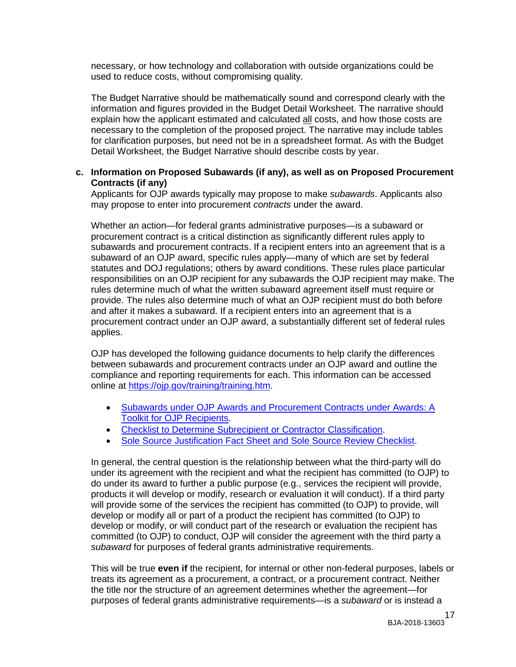necessary, or how technology and collaboration with outside organizations could be used to reduce costs, without compromising quality.

The Budget Narrative should be mathematically sound and correspond clearly with the information and figures provided in the Budget Detail Worksheet. The narrative should explain how the applicant estimated and calculated all costs, and how those costs are necessary to the completion of the proposed project. The narrative may include tables for clarification purposes, but need not be in a spreadsheet format. As with the Budget Detail Worksheet, the Budget Narrative should describe costs by year.

#### **c. Information on Proposed Subawards (if any), as well as on Proposed Procurement Contracts (if any)**

Applicants for OJP awards typically may propose to make *subawards*. Applicants also may propose to enter into procurement *contracts* under the award.

Whether an action—for federal grants administrative purposes—is a subaward or procurement contract is a critical distinction as significantly different rules apply to subawards and procurement contracts. If a recipient enters into an agreement that is a subaward of an OJP award, specific rules apply—many of which are set by federal statutes and DOJ regulations; others by award conditions. These rules place particular responsibilities on an OJP recipient for any subawards the OJP recipient may make. The rules determine much of what the written subaward agreement itself must require or provide. The rules also determine much of what an OJP recipient must do both before and after it makes a subaward. If a recipient enters into an agreement that is a procurement contract under an OJP award, a substantially different set of federal rules applies.

OJP has developed the following guidance documents to help clarify the differences between subawards and procurement contracts under an OJP award and outline the compliance and reporting requirements for each. This information can be accessed online at [https://ojp.gov/training/training.htm.](http://links.govdelivery.com/track?type=click&enid=ZWFzPTEmbXNpZD0mYXVpZD0mbWFpbGluZ2lkPTIwMTcwNzE3Ljc1OTkyNjAxJm1lc3NhZ2VpZD1NREItUFJELUJVTC0yMDE3MDcxNy43NTk5MjYwMSZkYXRhYmFzZWlkPTEwMDEmc2VyaWFsPTE3MDc5NDk3JmVtYWlsaWQ9bHVjeS5tdW5nbGVAb2pwLnVzZG9qLmdvdiZ1c2VyaWQ9bHVjeS5tdW5nbGVAb2pwLnVzZG9qLmdvdiZ0YXJnZXRpZD0mZmw9Jm12aWQ9JmV4dHJhPSYmJg==&&&100&&&https://ojp.gov/training/training.htm)

- [Subawards under OJP Awards and Procurement Contracts under Awards: A](http://links.govdelivery.com/track?type=click&enid=ZWFzPTEmbXNpZD0mYXVpZD0mbWFpbGluZ2lkPTIwMTcwNzE3Ljc1OTkyNjAxJm1lc3NhZ2VpZD1NREItUFJELUJVTC0yMDE3MDcxNy43NTk5MjYwMSZkYXRhYmFzZWlkPTEwMDEmc2VyaWFsPTE3MDc5NDk3JmVtYWlsaWQ9bHVjeS5tdW5nbGVAb2pwLnVzZG9qLmdvdiZ1c2VyaWQ9bHVjeS5tdW5nbGVAb2pwLnVzZG9qLmdvdiZ0YXJnZXRpZD0mZmw9Jm12aWQ9JmV4dHJhPSYmJg==&&&101&&&https://ojp.gov/training/pdfs/Subaward-Procure-Toolkit-D.pdf)  [Toolkit for OJP Recipients.](http://links.govdelivery.com/track?type=click&enid=ZWFzPTEmbXNpZD0mYXVpZD0mbWFpbGluZ2lkPTIwMTcwNzE3Ljc1OTkyNjAxJm1lc3NhZ2VpZD1NREItUFJELUJVTC0yMDE3MDcxNy43NTk5MjYwMSZkYXRhYmFzZWlkPTEwMDEmc2VyaWFsPTE3MDc5NDk3JmVtYWlsaWQ9bHVjeS5tdW5nbGVAb2pwLnVzZG9qLmdvdiZ1c2VyaWQ9bHVjeS5tdW5nbGVAb2pwLnVzZG9qLmdvdiZ0YXJnZXRpZD0mZmw9Jm12aWQ9JmV4dHJhPSYmJg==&&&101&&&https://ojp.gov/training/pdfs/Subaward-Procure-Toolkit-D.pdf)
- [Checklist to Determine Subrecipient or Contractor Classification.](http://links.govdelivery.com/track?type=click&enid=ZWFzPTEmbXNpZD0mYXVpZD0mbWFpbGluZ2lkPTIwMTcwNzE3Ljc1OTkyNjAxJm1lc3NhZ2VpZD1NREItUFJELUJVTC0yMDE3MDcxNy43NTk5MjYwMSZkYXRhYmFzZWlkPTEwMDEmc2VyaWFsPTE3MDc5NDk3JmVtYWlsaWQ9bHVjeS5tdW5nbGVAb2pwLnVzZG9qLmdvdiZ1c2VyaWQ9bHVjeS5tdW5nbGVAb2pwLnVzZG9qLmdvdiZ0YXJnZXRpZD0mZmw9Jm12aWQ9JmV4dHJhPSYmJg==&&&102&&&https://ojp.gov/training/pdfs/Subrecipient-Procure-cklist-B.pdf)
- [Sole Source Justification Fact Sheet and Sole Source Review Checklist.](http://links.govdelivery.com/track?type=click&enid=ZWFzPTEmbXNpZD0mYXVpZD0mbWFpbGluZ2lkPTIwMTcwNzE3Ljc1OTkyNjAxJm1lc3NhZ2VpZD1NREItUFJELUJVTC0yMDE3MDcxNy43NTk5MjYwMSZkYXRhYmFzZWlkPTEwMDEmc2VyaWFsPTE3MDc5NDk3JmVtYWlsaWQ9bHVjeS5tdW5nbGVAb2pwLnVzZG9qLmdvdiZ1c2VyaWQ9bHVjeS5tdW5nbGVAb2pwLnVzZG9qLmdvdiZ0YXJnZXRpZD0mZmw9Jm12aWQ9JmV4dHJhPSYmJg==&&&103&&&https://ojp.gov/training/pdfs/Sole-Source-FactSheet-C.pdf)

In general, the central question is the relationship between what the third-party will do under its agreement with the recipient and what the recipient has committed (to OJP) to do under its award to further a public purpose (e.g., services the recipient will provide, products it will develop or modify, research or evaluation it will conduct). If a third party will provide some of the services the recipient has committed (to OJP) to provide, will develop or modify all or part of a product the recipient has committed (to OJP) to develop or modify, or will conduct part of the research or evaluation the recipient has committed (to OJP) to conduct, OJP will consider the agreement with the third party a *subaward* for purposes of federal grants administrative requirements.

This will be true **even if** the recipient, for internal or other non-federal purposes, labels or treats its agreement as a procurement, a contract, or a procurement contract. Neither the title nor the structure of an agreement determines whether the agreement—for purposes of federal grants administrative requirements—is a *subaward* or is instead a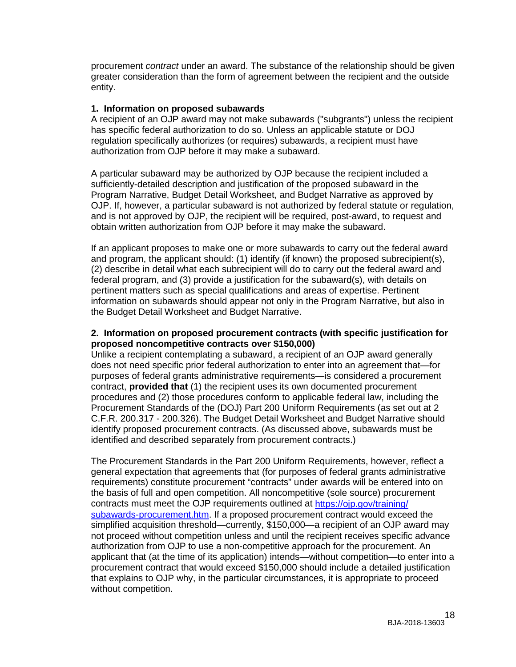procurement *contract* under an award. The substance of the relationship should be given greater consideration than the form of agreement between the recipient and the outside entity.

#### **1. Information on proposed subawards**

A recipient of an OJP award may not make subawards ("subgrants") unless the recipient has specific federal authorization to do so. Unless an applicable statute or DOJ regulation specifically authorizes (or requires) subawards, a recipient must have authorization from OJP before it may make a subaward.

A particular subaward may be authorized by OJP because the recipient included a sufficiently-detailed description and justification of the proposed subaward in the Program Narrative, Budget Detail Worksheet, and Budget Narrative as approved by OJP. If, however, a particular subaward is not authorized by federal statute or regulation, and is not approved by OJP, the recipient will be required, post-award, to request and obtain written authorization from OJP before it may make the subaward.

If an applicant proposes to make one or more subawards to carry out the federal award and program, the applicant should: (1) identify (if known) the proposed subrecipient(s), (2) describe in detail what each subrecipient will do to carry out the federal award and federal program, and (3) provide a justification for the subaward(s), with details on pertinent matters such as special qualifications and areas of expertise. Pertinent information on subawards should appear not only in the Program Narrative, but also in the Budget Detail Worksheet and Budget Narrative.

#### **2. Information on proposed procurement contracts (with specific justification for proposed noncompetitive contracts over \$150,000)**

Unlike a recipient contemplating a subaward, a recipient of an OJP award generally does not need specific prior federal authorization to enter into an agreement that—for purposes of federal grants administrative requirements—is considered a procurement contract, **provided that** (1) the recipient uses its own documented procurement procedures and (2) those procedures conform to applicable federal law, including the Procurement Standards of the (DOJ) Part 200 Uniform Requirements (as set out at 2 C.F.R. 200.317 - 200.326). The Budget Detail Worksheet and Budget Narrative should identify proposed procurement contracts. (As discussed above, subawards must be identified and described separately from procurement contracts.)

The Procurement Standards in the Part 200 Uniform Requirements, however, reflect a general expectation that agreements that (for purposes of federal grants administrative requirements) constitute procurement "contracts" under awards will be entered into on the basis of full and open competition. All noncompetitive (sole source) procurement contracts must meet the OJP requirements outlined at [https://ojp.gov/training/](https://ojp.gov/training/subawards-procurement.htm) [subawards-procurement.htm.](https://ojp.gov/training/subawards-procurement.htm) If a proposed procurement contract would exceed the simplified acquisition threshold—currently, \$150,000—a recipient of an OJP award may not proceed without competition unless and until the recipient receives specific advance authorization from OJP to use a non-competitive approach for the procurement. An applicant that (at the time of its application) intends—without competition—to enter into a procurement contract that would exceed \$150,000 should include a detailed justification that explains to OJP why, in the particular circumstances, it is appropriate to proceed without competition.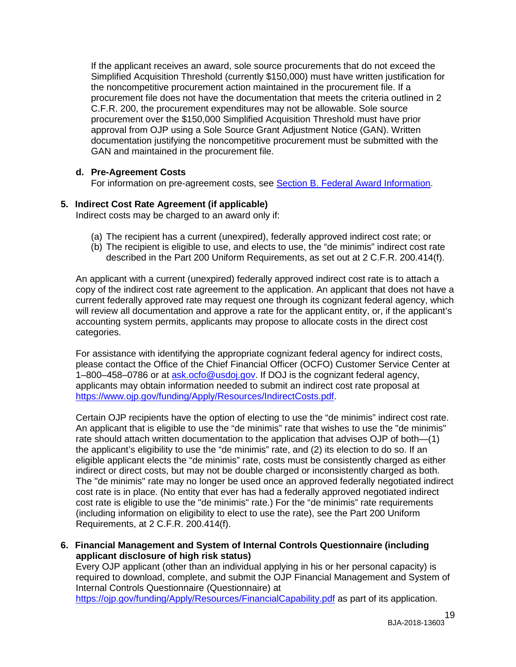If the applicant receives an award, sole source procurements that do not exceed the Simplified Acquisition Threshold (currently \$150,000) must have written justification for the noncompetitive procurement action maintained in the procurement file. If a procurement file does not have the documentation that meets the criteria outlined in 2 C.F.R. 200, the procurement expenditures may not be allowable. Sole source procurement over the \$150,000 Simplified Acquisition Threshold must have prior approval from OJP using a Sole Source Grant Adjustment Notice (GAN). Written documentation justifying the noncompetitive procurement must be submitted with the GAN and maintained in the procurement file.

## **d. Pre-Agreement Costs**

For information on pre-agreement costs, see [Section B. Federal Award Information.](#page-8-2)

## <span id="page-18-0"></span>**5. Indirect Cost Rate Agreement (if applicable)**

Indirect costs may be charged to an award only if:

- (a) The recipient has a current (unexpired), federally approved indirect cost rate; or
- (b) The recipient is eligible to use, and elects to use, the "de minimis" indirect cost rate described in the Part 200 Uniform Requirements, as set out at 2 C.F.R. 200.414(f).

An applicant with a current (unexpired) federally approved indirect cost rate is to attach a copy of the indirect cost rate agreement to the application. An applicant that does not have a current federally approved rate may request one through its cognizant federal agency, which will review all documentation and approve a rate for the applicant entity, or, if the applicant's accounting system permits, applicants may propose to allocate costs in the direct cost categories.

For assistance with identifying the appropriate cognizant federal agency for indirect costs, please contact the Office of the Chief Financial Officer (OCFO) Customer Service Center at 1–800–458–0786 or at [ask.ocfo@usdoj.gov.](mailto:ask.ocfo@usdoj.gov) If DOJ is the cognizant federal agency, applicants may obtain information needed to submit an indirect cost rate proposal at [https://www.ojp.gov/funding/Apply/Resources/IndirectCosts.pdf.](https://www.ojp.gov/funding/Apply/Resources/IndirectCosts.pdf)

Certain OJP recipients have the option of electing to use the "de minimis" indirect cost rate. An applicant that is eligible to use the "de minimis" rate that wishes to use the "de minimis" rate should attach written documentation to the application that advises OJP of both—(1) the applicant's eligibility to use the "de minimis" rate, and (2) its election to do so. If an eligible applicant elects the "de minimis" rate, costs must be consistently charged as either indirect or direct costs, but may not be double charged or inconsistently charged as both. The "de minimis" rate may no longer be used once an approved federally negotiated indirect cost rate is in place. (No entity that ever has had a federally approved negotiated indirect cost rate is eligible to use the "de minimis" rate.) For the "de minimis" rate requirements (including information on eligibility to elect to use the rate), see the Part 200 Uniform Requirements, at 2 C.F.R. 200.414(f).

<span id="page-18-1"></span>**6. Financial Management and System of Internal Controls Questionnaire (including applicant disclosure of high risk status)** Every OJP applicant (other than an individual applying in his or her personal capacity) is required to download, complete, and submit the OJP Financial Management and System of Internal Controls Questionnaire (Questionnaire) at

<https://ojp.gov/funding/Apply/Resources/FinancialCapability.pdf> as part of its application.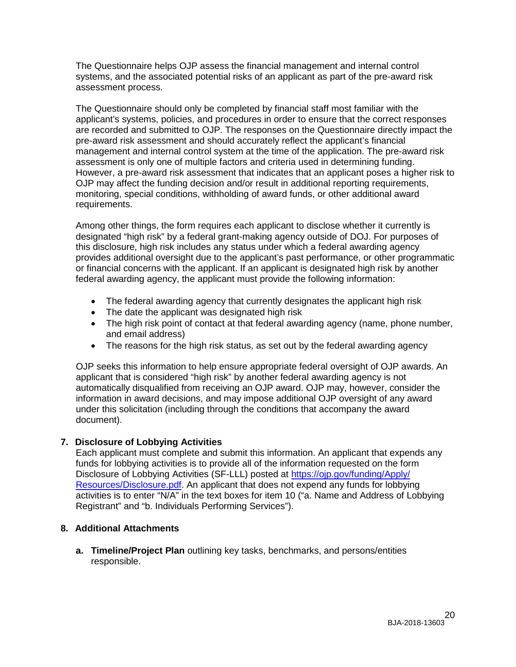The Questionnaire helps OJP assess the financial management and internal control systems, and the associated potential risks of an applicant as part of the pre-award risk assessment process.

The Questionnaire should only be completed by financial staff most familiar with the applicant's systems, policies, and procedures in order to ensure that the correct responses are recorded and submitted to OJP. The responses on the Questionnaire directly impact the pre-award risk assessment and should accurately reflect the applicant's financial management and internal control system at the time of the application. The pre-award risk assessment is only one of multiple factors and criteria used in determining funding. However, a pre-award risk assessment that indicates that an applicant poses a higher risk to OJP may affect the funding decision and/or result in additional reporting requirements, monitoring, special conditions, withholding of award funds, or other additional award requirements.

Among other things, the form requires each applicant to disclose whether it currently is designated "high risk" by a federal grant-making agency outside of DOJ. For purposes of this disclosure, high risk includes any status under which a federal awarding agency provides additional oversight due to the applicant's past performance, or other programmatic or financial concerns with the applicant. If an applicant is designated high risk by another federal awarding agency, the applicant must provide the following information:

- The federal awarding agency that currently designates the applicant high risk
- The date the applicant was designated high risk
- The high risk point of contact at that federal awarding agency (name, phone number, and email address)
- The reasons for the high risk status, as set out by the federal awarding agency

OJP seeks this information to help ensure appropriate federal oversight of OJP awards. An applicant that is considered "high risk" by another federal awarding agency is not automatically disqualified from receiving an OJP award. OJP may, however, consider the information in award decisions, and may impose additional OJP oversight of any award under this solicitation (including through the conditions that accompany the award document).

## **7. Disclosure of Lobbying Activities**

Each applicant must complete and submit this information. An applicant that expends any funds for lobbying activities is to provide all of the information requested on the form Disclosure of Lobbying Activities (SF-LLL) posted at [https://ojp.gov/funding/Apply/](https://ojp.gov/funding/Apply/Resources/Disclosure.pdf) [Resources/Disclosure.pdf.](https://ojp.gov/funding/Apply/Resources/Disclosure.pdf) An applicant that does not expend any funds for lobbying activities is to enter "N/A" in the text boxes for item 10 ("a. Name and Address of Lobbying Registrant" and "b. Individuals Performing Services").

## **8. Additional Attachments**

<span id="page-19-0"></span>**a. Timeline/Project Plan** outlining key tasks, benchmarks, and persons/entities responsible.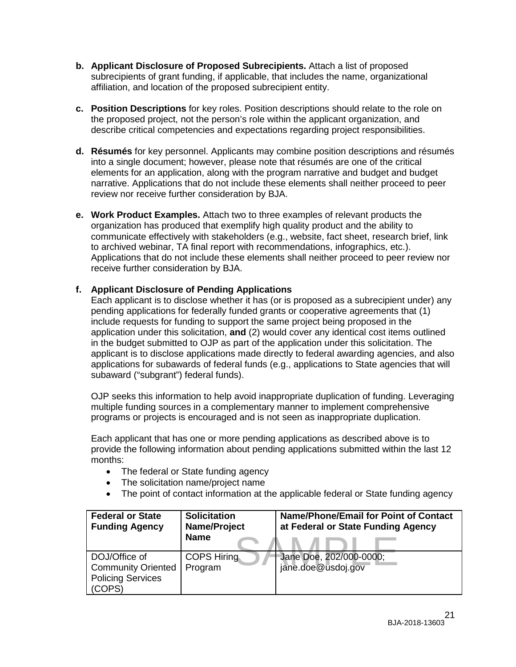- <span id="page-20-0"></span>**b. Applicant Disclosure of Proposed Subrecipients.** Attach a list of proposed subrecipients of grant funding, if applicable, that includes the name, organizational affiliation, and location of the proposed subrecipient entity.
- **c. Position Descriptions** for key roles. Position descriptions should relate to the role on the proposed project, not the person's role within the applicant organization, and describe critical competencies and expectations regarding project responsibilities.
- <span id="page-20-1"></span>**d. Résumés** for key personnel. Applicants may combine position descriptions and résumés into a single document; however, please note that résumés are one of the critical elements for an application, along with the program narrative and budget and budget narrative. Applications that do not include these elements shall neither proceed to peer review nor receive further consideration by BJA.
- <span id="page-20-2"></span>**e. Work Product Examples.** Attach two to three examples of relevant products the organization has produced that exemplify high quality product and the ability to communicate effectively with stakeholders (e.g., website, fact sheet, research brief, link to archived webinar, TA final report with recommendations, infographics, etc.). Applications that do not include these elements shall neither proceed to peer review nor receive further consideration by BJA.

## <span id="page-20-3"></span>**f. Applicant Disclosure of Pending Applications**

Each applicant is to disclose whether it has (or is proposed as a subrecipient under) any pending applications for federally funded grants or cooperative agreements that (1) include requests for funding to support the same project being proposed in the application under this solicitation, **and** (2) would cover any identical cost items outlined in the budget submitted to OJP as part of the application under this solicitation. The applicant is to disclose applications made directly to federal awarding agencies, and also applications for subawards of federal funds (e.g., applications to State agencies that will subaward ("subgrant") federal funds).

OJP seeks this information to help avoid inappropriate duplication of funding. Leveraging multiple funding sources in a complementary manner to implement comprehensive programs or projects is encouraged and is not seen as inappropriate duplication.

Each applicant that has one or more pending applications as described above is to provide the following information about pending applications submitted within the last 12 months:

- The federal or State funding agency
- The solicitation name/project name
- The point of contact information at the applicable federal or State funding agency

| <b>Federal or State</b><br><b>Funding Agency</b>                                 | <b>Solicitation</b><br>Name/Project<br><b>Name</b> | <b>Name/Phone/Email for Point of Contact</b><br>at Federal or State Funding Agency |
|----------------------------------------------------------------------------------|----------------------------------------------------|------------------------------------------------------------------------------------|
| DOJ/Office of<br><b>Community Oriented</b><br><b>Policing Services</b><br>(COPS) | <b>COPS Hiring</b><br>Program                      | Jane Doe, 202/000-0000;<br>jane.doe@usdoj.gov                                      |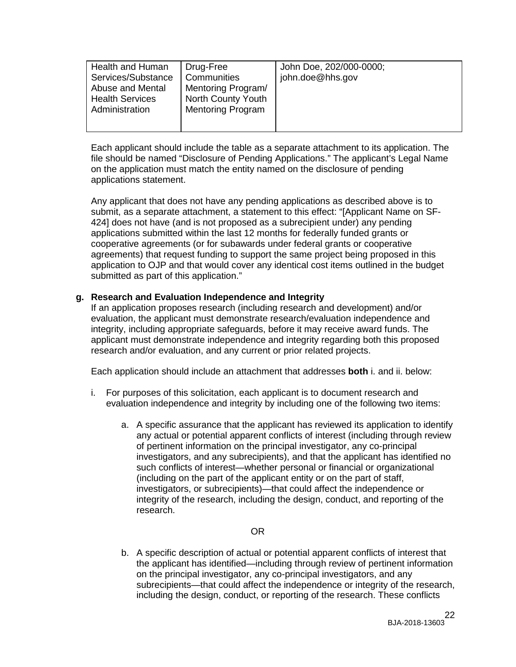| Health and Human<br>Services/Substance<br>Abuse and Mental<br><b>Health Services</b><br>Administration | Drug-Free<br>Communities<br>Mentoring Program/<br>North County Youth<br><b>Mentoring Program</b> | John Doe, 202/000-0000;<br>john.doe@hhs.gov |
|--------------------------------------------------------------------------------------------------------|--------------------------------------------------------------------------------------------------|---------------------------------------------|
|                                                                                                        |                                                                                                  |                                             |

Each applicant should include the table as a separate attachment to its application. The file should be named "Disclosure of Pending Applications." The applicant's Legal Name on the application must match the entity named on the disclosure of pending applications statement.

Any applicant that does not have any pending applications as described above is to submit, as a separate attachment, a statement to this effect: "[Applicant Name on SF-424] does not have (and is not proposed as a subrecipient under) any pending applications submitted within the last 12 months for federally funded grants or cooperative agreements (or for subawards under federal grants or cooperative agreements) that request funding to support the same project being proposed in this application to OJP and that would cover any identical cost items outlined in the budget submitted as part of this application."

## **g. Research and Evaluation Independence and Integrity**

If an application proposes research (including research and development) and/or evaluation, the applicant must demonstrate research/evaluation independence and integrity, including appropriate safeguards, before it may receive award funds. The applicant must demonstrate independence and integrity regarding both this proposed research and/or evaluation, and any current or prior related projects.

Each application should include an attachment that addresses **both** i. and ii. below:

- i. For purposes of this solicitation, each applicant is to document research and evaluation independence and integrity by including one of the following two items:
	- a. A specific assurance that the applicant has reviewed its application to identify any actual or potential apparent conflicts of interest (including through review of pertinent information on the principal investigator, any co-principal investigators, and any subrecipients), and that the applicant has identified no such conflicts of interest—whether personal or financial or organizational (including on the part of the applicant entity or on the part of staff, investigators, or subrecipients)—that could affect the independence or integrity of the research, including the design, conduct, and reporting of the research.

## OR

b. A specific description of actual or potential apparent conflicts of interest that the applicant has identified—including through review of pertinent information on the principal investigator, any co-principal investigators, and any subrecipients—that could affect the independence or integrity of the research, including the design, conduct, or reporting of the research. These conflicts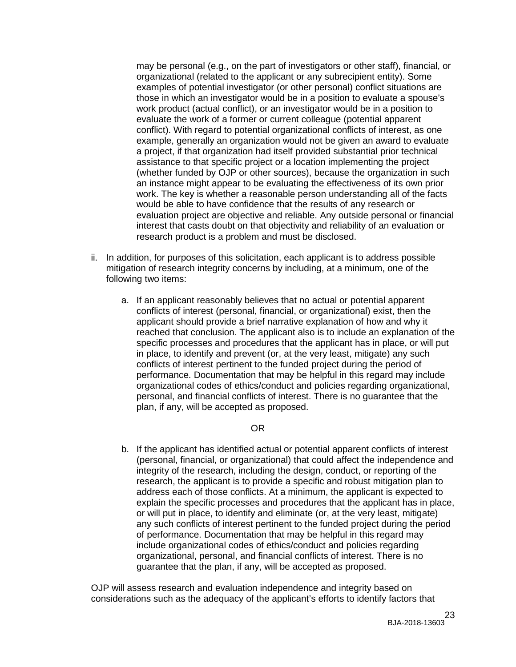may be personal (e.g., on the part of investigators or other staff), financial, or organizational (related to the applicant or any subrecipient entity). Some examples of potential investigator (or other personal) conflict situations are those in which an investigator would be in a position to evaluate a spouse's work product (actual conflict), or an investigator would be in a position to evaluate the work of a former or current colleague (potential apparent conflict). With regard to potential organizational conflicts of interest, as one example, generally an organization would not be given an award to evaluate a project, if that organization had itself provided substantial prior technical assistance to that specific project or a location implementing the project (whether funded by OJP or other sources), because the organization in such an instance might appear to be evaluating the effectiveness of its own prior work. The key is whether a reasonable person understanding all of the facts would be able to have confidence that the results of any research or evaluation project are objective and reliable. Any outside personal or financial interest that casts doubt on that objectivity and reliability of an evaluation or research product is a problem and must be disclosed.

- ii. In addition, for purposes of this solicitation, each applicant is to address possible mitigation of research integrity concerns by including, at a minimum, one of the following two items:
	- a. If an applicant reasonably believes that no actual or potential apparent conflicts of interest (personal, financial, or organizational) exist, then the applicant should provide a brief narrative explanation of how and why it reached that conclusion. The applicant also is to include an explanation of the specific processes and procedures that the applicant has in place, or will put in place, to identify and prevent (or, at the very least, mitigate) any such conflicts of interest pertinent to the funded project during the period of performance. Documentation that may be helpful in this regard may include organizational codes of ethics/conduct and policies regarding organizational, personal, and financial conflicts of interest. There is no guarantee that the plan, if any, will be accepted as proposed.

## OR

b. If the applicant has identified actual or potential apparent conflicts of interest (personal, financial, or organizational) that could affect the independence and integrity of the research, including the design, conduct, or reporting of the research, the applicant is to provide a specific and robust mitigation plan to address each of those conflicts. At a minimum, the applicant is expected to explain the specific processes and procedures that the applicant has in place, or will put in place, to identify and eliminate (or, at the very least, mitigate) any such conflicts of interest pertinent to the funded project during the period of performance. Documentation that may be helpful in this regard may include organizational codes of ethics/conduct and policies regarding organizational, personal, and financial conflicts of interest. There is no guarantee that the plan, if any, will be accepted as proposed.

OJP will assess research and evaluation independence and integrity based on considerations such as the adequacy of the applicant's efforts to identify factors that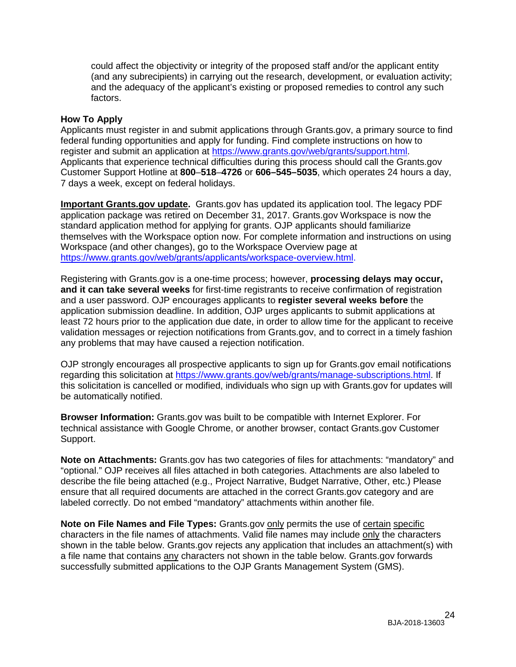could affect the objectivity or integrity of the proposed staff and/or the applicant entity (and any subrecipients) in carrying out the research, development, or evaluation activity; and the adequacy of the applicant's existing or proposed remedies to control any such factors.

#### <span id="page-23-0"></span>**How To Apply**

Applicants must register in and submit applications through Grants.gov, a primary source to find federal funding opportunities and apply for funding. Find complete instructions on how to register and submit an application at [https://www.grants.gov/web/grants/support.html.](https://www.grants.gov/web/grants/support.html) Applicants that experience technical difficulties during this process should call the Grants.gov Customer Support Hotline at **800**–**518**–**4726** or **606–545–5035**, which operates 24 hours a day, 7 days a week, except on federal holidays.

**Important Grants.gov update.** Grants.gov has updated its application tool. The legacy PDF application package was retired on December 31, 2017. Grants.gov Workspace is now the standard application method for applying for grants. OJP applicants should familiarize themselves with the Workspace option now. For complete information and instructions on using Workspace (and other changes), go to the Workspace Overview page at [https://www.grants.gov/web/grants/applicants/workspace-overview.html.](https://www.grants.gov/web/grants/applicants/workspace-overview.html)

Registering with Grants.gov is a one-time process; however, **processing delays may occur, and it can take several weeks** for first-time registrants to receive confirmation of registration and a user password. OJP encourages applicants to **register several weeks before** the application submission deadline. In addition, OJP urges applicants to submit applications at least 72 hours prior to the application due date, in order to allow time for the applicant to receive validation messages or rejection notifications from Grants.gov, and to correct in a timely fashion any problems that may have caused a rejection notification.

OJP strongly encourages all prospective applicants to sign up for Grants.gov email notifications regarding this solicitation at [https://www.grants.gov/web/grants/manage-subscriptions.html.](https://www.grants.gov/web/grants/manage-subscriptions.html) If this solicitation is cancelled or modified, individuals who sign up with Grants.gov for updates will be automatically notified.

**Browser Information:** Grants.gov was built to be compatible with Internet Explorer. For technical assistance with Google Chrome, or another browser, contact Grants.gov Customer Support.

**Note on Attachments:** Grants.gov has two categories of files for attachments: "mandatory" and "optional." OJP receives all files attached in both categories. Attachments are also labeled to describe the file being attached (e.g., Project Narrative, Budget Narrative, Other, etc.) Please ensure that all required documents are attached in the correct Grants.gov category and are labeled correctly. Do not embed "mandatory" attachments within another file.

**Note on File Names and File Types:** Grants.gov only permits the use of certain specific characters in the file names of attachments. Valid file names may include only the characters shown in the table below. Grants.gov rejects any application that includes an attachment(s) with a file name that contains any characters not shown in the table below. Grants.gov forwards successfully submitted applications to the OJP Grants Management System (GMS).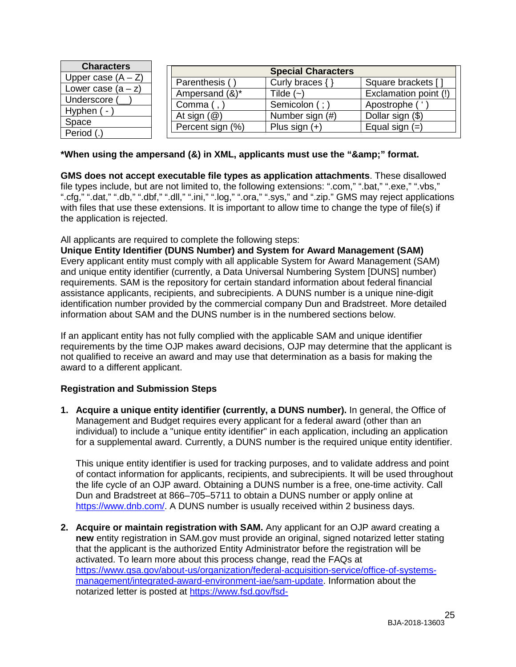|                                                                                           | Square brackets [                                                                                                     |
|-------------------------------------------------------------------------------------------|-----------------------------------------------------------------------------------------------------------------------|
|                                                                                           | Exclamation point (!)                                                                                                 |
|                                                                                           | Apostrophe                                                                                                            |
|                                                                                           | Dollar sign (\$)                                                                                                      |
|                                                                                           | Equal sign $(=)$                                                                                                      |
| Parenthesis (<br>Ampersand (&)*<br>Comma (<br>At sign $(\mathcal{Q})$<br>Percent sign (%) | <b>Special Characters</b><br>Curly braces $\{\}$<br>Tilde $(-)$<br>Semicolon (;<br>Number sign (#)<br>Plus sign $(+)$ |

## \*When using the ampersand (&) in XML, applicants must use the "&" format.

**GMS does not accept executable file types as application attachments**. These disallowed file types include, but are not limited to, the following extensions: ".com," ".bat," ".exe," ".vbs," ".cfg," ".dat," ".db," ".dbf," ".dll," ".ini," ".log," ".ora," ".sys," and ".zip." GMS may reject applications with files that use these extensions. It is important to allow time to change the type of file(s) if the application is rejected.

All applicants are required to complete the following steps:

**Unique Entity Identifier (DUNS Number) and System for Award Management (SAM)** Every applicant entity must comply with all applicable System for Award Management (SAM) and unique entity identifier (currently, a Data Universal Numbering System [DUNS] number) requirements. SAM is the repository for certain standard information about federal financial assistance applicants, recipients, and subrecipients. A DUNS number is a unique nine-digit identification number provided by the commercial company Dun and Bradstreet. More detailed information about SAM and the DUNS number is in the numbered sections below.

If an applicant entity has not fully complied with the applicable SAM and unique identifier requirements by the time OJP makes award decisions, OJP may determine that the applicant is not qualified to receive an award and may use that determination as a basis for making the award to a different applicant.

## **Registration and Submission Steps**

**1. Acquire a unique entity identifier (currently, a DUNS number).** In general, the Office of Management and Budget requires every applicant for a federal award (other than an individual) to include a "unique entity identifier" in each application, including an application for a supplemental award. Currently, a DUNS number is the required unique entity identifier.

This unique entity identifier is used for tracking purposes, and to validate address and point of contact information for applicants, recipients, and subrecipients. It will be used throughout the life cycle of an OJP award. Obtaining a DUNS number is a free, one-time activity. Call Dun and Bradstreet at 866–705–5711 to obtain a DUNS number or apply online at [https://www.dnb.com/.](https://www.dnb.com/) A DUNS number is usually received within 2 business days.

**2. Acquire or maintain registration with SAM.** Any applicant for an OJP award creating a **new** entity registration in SAM.gov must provide an original, signed notarized letter stating that the applicant is the authorized Entity Administrator before the registration will be activated. To learn more about this process change, read the FAQs at [https://www.gsa.gov/about-us/organization/federal-acquisition-service/office-of-systems](https://www.gsa.gov/about-us/organization/federal-acquisition-service/office-of-systems-management/integrated-award-environment-iae/sam-update)[management/integrated-award-environment-iae/sam-update.](https://www.gsa.gov/about-us/organization/federal-acquisition-service/office-of-systems-management/integrated-award-environment-iae/sam-update) Information about the notarized letter is posted at [https://www.fsd.gov/fsd-](https://www.fsd.gov/fsd-gov/answer.do?sysparm_kbid=d2e67885db0d5f00b3257d321f96194b&sysparm_search=kb0013183)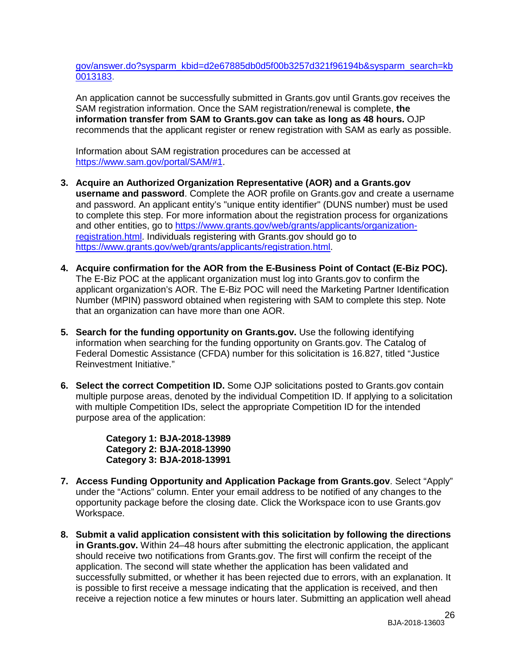[gov/answer.do?sysparm\\_kbid=d2e67885db0d5f00b3257d321f96194b&sysparm\\_search=kb](https://www.fsd.gov/fsd-gov/answer.do?sysparm_kbid=d2e67885db0d5f00b3257d321f96194b&sysparm_search=kb0013183) [0013183.](https://www.fsd.gov/fsd-gov/answer.do?sysparm_kbid=d2e67885db0d5f00b3257d321f96194b&sysparm_search=kb0013183)

An application cannot be successfully submitted in Grants.gov until Grants.gov receives the SAM registration information. Once the SAM registration/renewal is complete, **the information transfer from SAM to Grants.gov can take as long as 48 hours.** OJP recommends that the applicant register or renew registration with SAM as early as possible.

Information about SAM registration procedures can be accessed at [https://www.sam.gov/portal/SAM/#1.](https://www.sam.gov/portal/SAM/#1)

- **3. Acquire an Authorized Organization Representative (AOR) and a Grants.gov username and password**. Complete the AOR profile on Grants.gov and create a username and password. An applicant entity's "unique entity identifier" (DUNS number) must be used to complete this step. For more information about the registration process for organizations and other entities, go to [https://www.grants.gov/web/grants/applicants/organization](https://www.grants.gov/web/grants/applicants/organization-registration.html)[registration.html.](https://www.grants.gov/web/grants/applicants/organization-registration.html) Individuals registering with Grants.gov should go to [https://www.grants.gov/web/grants/applicants/registration.html.](https://www.grants.gov/web/grants/applicants/registration.html)
- **4. Acquire confirmation for the AOR from the E-Business Point of Contact (E-Biz POC).**  The E-Biz POC at the applicant organization must log into Grants.gov to confirm the applicant organization's AOR. The E-Biz POC will need the Marketing Partner Identification Number (MPIN) password obtained when registering with SAM to complete this step. Note that an organization can have more than one AOR.
- **5. Search for the funding opportunity on Grants.gov.** Use the following identifying information when searching for the funding opportunity on Grants.gov. The Catalog of Federal Domestic Assistance (CFDA) number for this solicitation is 16.827, titled "Justice Reinvestment Initiative."
- **6. Select the correct Competition ID.** Some OJP solicitations posted to Grants.gov contain multiple purpose areas, denoted by the individual Competition ID. If applying to a solicitation with multiple Competition IDs, select the appropriate Competition ID for the intended purpose area of the application:

**Category 1: BJA-2018-13989 Category 2: BJA-2018-13990 Category 3: BJA-2018-13991** 

- **7. Access Funding Opportunity and Application Package from Grants.gov**. Select "Apply" under the "Actions" column. Enter your email address to be notified of any changes to the opportunity package before the closing date. Click the Workspace icon to use Grants.gov Workspace.
- **8. Submit a valid application consistent with this solicitation by following the directions in Grants.gov.** Within 24–48 hours after submitting the electronic application, the applicant should receive two notifications from Grants.gov. The first will confirm the receipt of the application. The second will state whether the application has been validated and successfully submitted, or whether it has been rejected due to errors, with an explanation. It is possible to first receive a message indicating that the application is received, and then receive a rejection notice a few minutes or hours later. Submitting an application well ahead

26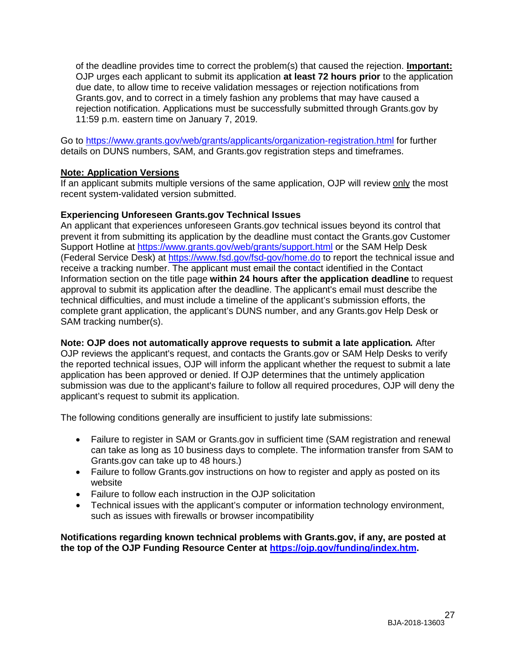of the deadline provides time to correct the problem(s) that caused the rejection. **Important:** OJP urges each applicant to submit its application **at least 72 hours prior** to the application due date, to allow time to receive validation messages or rejection notifications from Grants.gov, and to correct in a timely fashion any problems that may have caused a rejection notification. Applications must be successfully submitted through Grants.gov by 11:59 p.m. eastern time on January 7, 2019.

Go to<https://www.grants.gov/web/grants/applicants/organization-registration.html> for further details on DUNS numbers, SAM, and Grants.gov registration steps and timeframes.

## **Note: Application Versions**

If an applicant submits multiple versions of the same application, OJP will review only the most recent system-validated version submitted.

## **Experiencing Unforeseen Grants.gov Technical Issues**

An applicant that experiences unforeseen Grants.gov technical issues beyond its control that prevent it from submitting its application by the deadline must contact the Grants.gov Customer Support Hotline at<https://www.grants.gov/web/grants/support.html> or the SAM Help Desk (Federal Service Desk) at<https://www.fsd.gov/fsd-gov/home.do> to report the technical issue and receive a tracking number. The applicant must email the contact identified in the Contact Information section on the title page **within 24 hours after the application deadline** to request approval to submit its application after the deadline. The applicant's email must describe the technical difficulties, and must include a timeline of the applicant's submission efforts, the complete grant application, the applicant's DUNS number, and any Grants.gov Help Desk or SAM tracking number(s).

**Note: OJP does not automatically approve requests to submit a late application***.* After OJP reviews the applicant's request, and contacts the Grants.gov or SAM Help Desks to verify the reported technical issues, OJP will inform the applicant whether the request to submit a late application has been approved or denied. If OJP determines that the untimely application submission was due to the applicant's failure to follow all required procedures, OJP will deny the applicant's request to submit its application.

The following conditions generally are insufficient to justify late submissions:

- Failure to register in SAM or Grants.gov in sufficient time (SAM registration and renewal can take as long as 10 business days to complete. The information transfer from SAM to Grants.gov can take up to 48 hours.)
- Failure to follow Grants.gov instructions on how to register and apply as posted on its website
- Failure to follow each instruction in the OJP solicitation
- Technical issues with the applicant's computer or information technology environment, such as issues with firewalls or browser incompatibility

**Notifications regarding known technical problems with Grants.gov, if any, are posted at the top of the OJP Funding Resource Center at [https://ojp.gov/funding/index.htm.](https://ojp.gov/funding/index.htm)**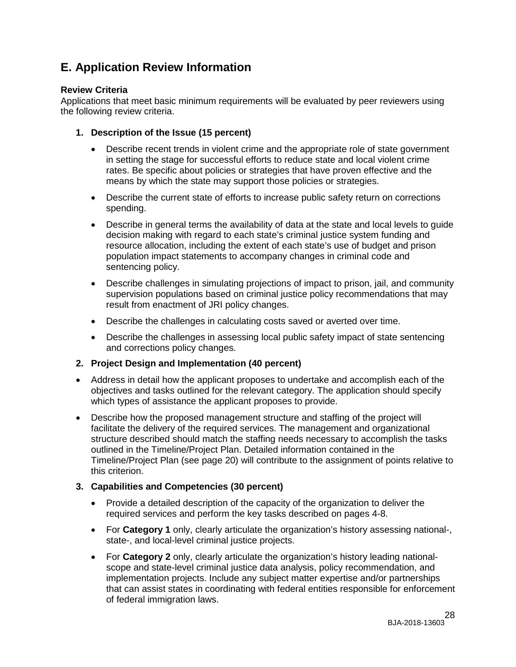# <span id="page-27-0"></span>**E. Application Review Information**

## <span id="page-27-1"></span>**Review Criteria**

Applications that meet basic minimum requirements will be evaluated by peer reviewers using the following review criteria.

- **1. Description of the Issue (15 percent)**
	- Describe recent trends in violent crime and the appropriate role of state government in setting the stage for successful efforts to reduce state and local violent crime rates. Be specific about policies or strategies that have proven effective and the means by which the state may support those policies or strategies.
	- Describe the current state of efforts to increase public safety return on corrections spending.
	- Describe in general terms the availability of data at the state and local levels to guide decision making with regard to each state's criminal justice system funding and resource allocation, including the extent of each state's use of budget and prison population impact statements to accompany changes in criminal code and sentencing policy.
	- Describe challenges in simulating projections of impact to prison, jail, and community supervision populations based on criminal justice policy recommendations that may result from enactment of JRI policy changes.
	- Describe the challenges in calculating costs saved or averted over time.
	- Describe the challenges in assessing local public safety impact of state sentencing and corrections policy changes.

## **2. Project Design and Implementation (40 percent)**

- Address in detail how the applicant proposes to undertake and accomplish each of the objectives and tasks outlined for the relevant category. The application should specify which types of assistance the applicant proposes to provide.
- Describe how the proposed management structure and staffing of the project will facilitate the delivery of the required services. The management and organizational structure described should match the staffing needs necessary to accomplish the tasks outlined in the Timeline/Project Plan. Detailed information contained in the Timeline/Project Plan (see page [20\)](#page-19-0) will contribute to the assignment of points relative to this criterion.

## **3. Capabilities and Competencies (30 percent)**

- Provide a detailed description of the capacity of the organization to deliver the required services and perform the key tasks described on pages 4-8.
- For **Category 1** only, clearly articulate the organization's history assessing national-, state-, and local-level criminal justice projects.
- For **Category 2** only, clearly articulate the organization's history leading nationalscope and state-level criminal justice data analysis, policy recommendation, and implementation projects. Include any subject matter expertise and/or partnerships that can assist states in coordinating with federal entities responsible for enforcement of federal immigration laws.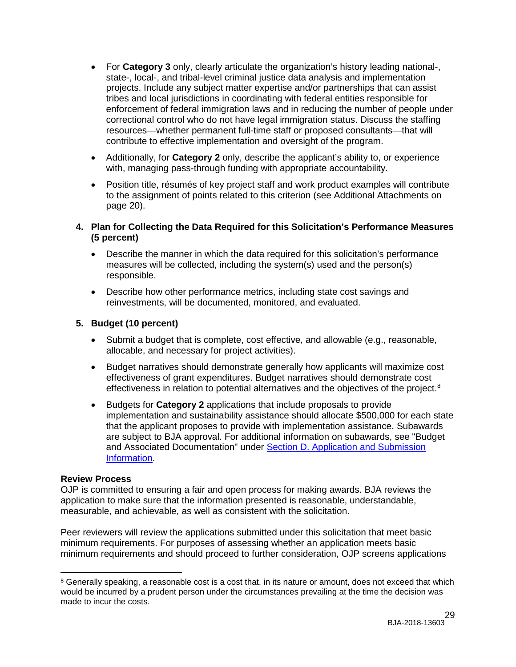- For **Category 3** only, clearly articulate the organization's history leading national-, state-, local-, and tribal-level criminal justice data analysis and implementation projects. Include any subject matter expertise and/or partnerships that can assist tribes and local jurisdictions in coordinating with federal entities responsible for enforcement of federal immigration laws and in reducing the number of people under correctional control who do not have legal immigration status. Discuss the staffing resources—whether permanent full-time staff or proposed consultants—that will contribute to effective implementation and oversight of the program.
- Additionally, for **Category 2** only, describe the applicant's ability to, or experience with, managing pass-through funding with appropriate accountability.
- Position title, résumés of key project staff and work product examples will contribute to the assignment of points related to this criterion (see Additional Attachments on page [20\)](#page-19-0).

## **4. Plan for Collecting the Data Required for this Solicitation's Performance Measures (5 percent)**

- Describe the manner in which the data required for this solicitation's performance measures will be collected, including the system(s) used and the person(s) responsible.
- Describe how other performance metrics, including state cost savings and reinvestments, will be documented, monitored, and evaluated.

## **5. Budget (10 percent)**

- Submit a budget that is complete, cost effective, and allowable (e.g., reasonable, allocable, and necessary for project activities).
- Budget narratives should demonstrate generally how applicants will maximize cost effectiveness of grant expenditures. Budget narratives should demonstrate cost effectiveness in relation to potential alternatives and the objectives of the project.<sup>[8](#page-28-1)</sup>
- Budgets for **Category 2** applications that include proposals to provide implementation and sustainability assistance should allocate \$500,000 for each state that the applicant proposes to provide with implementation assistance. Subawards are subject to BJA approval. For additional information on subawards, see "Budget and Associated Documentation" under [Section D. Application and Submission](#page-12-0)  [Information.](#page-12-0)

## <span id="page-28-0"></span>**Review Process**

OJP is committed to ensuring a fair and open process for making awards. BJA reviews the application to make sure that the information presented is reasonable, understandable, measurable, and achievable, as well as consistent with the solicitation.

Peer reviewers will review the applications submitted under this solicitation that meet basic minimum requirements. For purposes of assessing whether an application meets basic minimum requirements and should proceed to further consideration, OJP screens applications

<span id="page-28-1"></span> $\overline{a}$ <sup>8</sup> Generally speaking, a reasonable cost is a cost that, in its nature or amount, does not exceed that which would be incurred by a prudent person under the circumstances prevailing at the time the decision was made to incur the costs.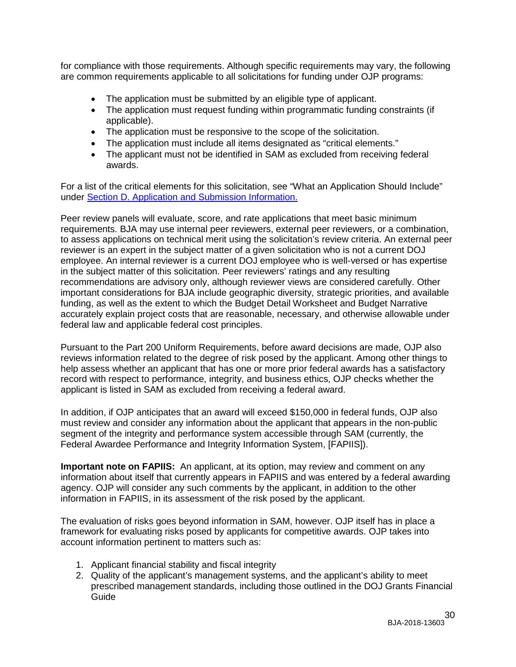for compliance with those requirements. Although specific requirements may vary, the following are common requirements applicable to all solicitations for funding under OJP programs:

- The application must be submitted by an eligible type of applicant.
- The application must request funding within programmatic funding constraints (if applicable).
- The application must be responsive to the scope of the solicitation.
- The application must include all items designated as "critical elements."
- The applicant must not be identified in SAM as excluded from receiving federal awards.

For a list of the critical elements for this solicitation, see "What an Application Should Include" under [Section D. Application and Submission Information.](#page-12-0)

Peer review panels will evaluate, score, and rate applications that meet basic minimum requirements. BJA may use internal peer reviewers, external peer reviewers, or a combination, to assess applications on technical merit using the solicitation's review criteria. An external peer reviewer is an expert in the subject matter of a given solicitation who is not a current DOJ employee. An internal reviewer is a current DOJ employee who is well-versed or has expertise in the subject matter of this solicitation. Peer reviewers' ratings and any resulting recommendations are advisory only, although reviewer views are considered carefully. Other important considerations for BJA include geographic diversity, strategic priorities, and available funding, as well as the extent to which the Budget Detail Worksheet and Budget Narrative accurately explain project costs that are reasonable, necessary, and otherwise allowable under federal law and applicable federal cost principles.

Pursuant to the Part 200 Uniform Requirements, before award decisions are made, OJP also reviews information related to the degree of risk posed by the applicant. Among other things to help assess whether an applicant that has one or more prior federal awards has a satisfactory record with respect to performance, integrity, and business ethics, OJP checks whether the applicant is listed in SAM as excluded from receiving a federal award.

In addition, if OJP anticipates that an award will exceed \$150,000 in federal funds, OJP also must review and consider any information about the applicant that appears in the non-public segment of the integrity and performance system accessible through SAM (currently, the Federal Awardee Performance and Integrity Information System, [FAPIIS]).

**Important note on FAPIIS:** An applicant, at its option, may review and comment on any information about itself that currently appears in FAPIIS and was entered by a federal awarding agency. OJP will consider any such comments by the applicant, in addition to the other information in FAPIIS, in its assessment of the risk posed by the applicant.

The evaluation of risks goes beyond information in SAM, however. OJP itself has in place a framework for evaluating risks posed by applicants for competitive awards. OJP takes into account information pertinent to matters such as:

- 1. Applicant financial stability and fiscal integrity
- 2. Quality of the applicant's management systems, and the applicant's ability to meet prescribed management standards, including those outlined in the DOJ Grants Financial Guide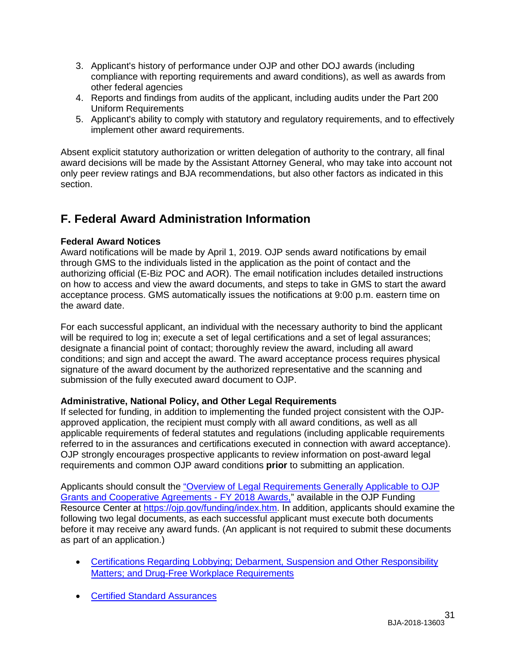- 3. Applicant's history of performance under OJP and other DOJ awards (including compliance with reporting requirements and award conditions), as well as awards from other federal agencies
- 4. Reports and findings from audits of the applicant, including audits under the Part 200 Uniform Requirements
- 5. Applicant's ability to comply with statutory and regulatory requirements, and to effectively implement other award requirements.

Absent explicit statutory authorization or written delegation of authority to the contrary, all final award decisions will be made by the Assistant Attorney General, who may take into account not only peer review ratings and BJA recommendations, but also other factors as indicated in this section.

# <span id="page-30-3"></span><span id="page-30-0"></span>**F. Federal Award Administration Information**

## <span id="page-30-1"></span>**Federal Award Notices**

Award notifications will be made by April 1, 2019. OJP sends award notifications by email through GMS to the individuals listed in the application as the point of contact and the authorizing official (E-Biz POC and AOR). The email notification includes detailed instructions on how to access and view the award documents, and steps to take in GMS to start the award acceptance process. GMS automatically issues the notifications at 9:00 p.m. eastern time on the award date.

For each successful applicant, an individual with the necessary authority to bind the applicant will be required to log in; execute a set of legal certifications and a set of legal assurances; designate a financial point of contact; thoroughly review the award, including all award conditions; and sign and accept the award. The award acceptance process requires physical signature of the award document by the authorized representative and the scanning and submission of the fully executed award document to OJP.

## <span id="page-30-2"></span>**Administrative, National Policy, and Other Legal Requirements**

If selected for funding, in addition to implementing the funded project consistent with the OJPapproved application, the recipient must comply with all award conditions, as well as all applicable requirements of federal statutes and regulations (including applicable requirements referred to in the assurances and certifications executed in connection with award acceptance). OJP strongly encourages prospective applicants to review information on post-award legal requirements and common OJP award conditions **prior** to submitting an application.

Applicants should consult the ["Overview of Legal Requirements Generally Applicable to OJP](https://ojp.gov/funding/Explore/LegalOverview/index.htm)  [Grants and Cooperative Agreements -](https://ojp.gov/funding/Explore/LegalOverview/index.htm) FY 2018 Awards," available in the OJP Funding Resource Center at [https://ojp.gov/funding/index.htm.](https://ojp.gov/funding/index.htm) In addition, applicants should examine the following two legal documents, as each successful applicant must execute both documents before it may receive any award funds. (An applicant is not required to submit these documents as part of an application.)

- [Certifications Regarding Lobbying; Debarment, Suspension and Other Responsibility](https://ojp.gov/funding/Apply/Resources/Certifications.pdf)  [Matters; and Drug-Free Workplace Requirements](https://ojp.gov/funding/Apply/Resources/Certifications.pdf)
- [Certified Standard Assurances](https://ojp.gov/funding/Apply/Resources/StandardAssurances.pdf)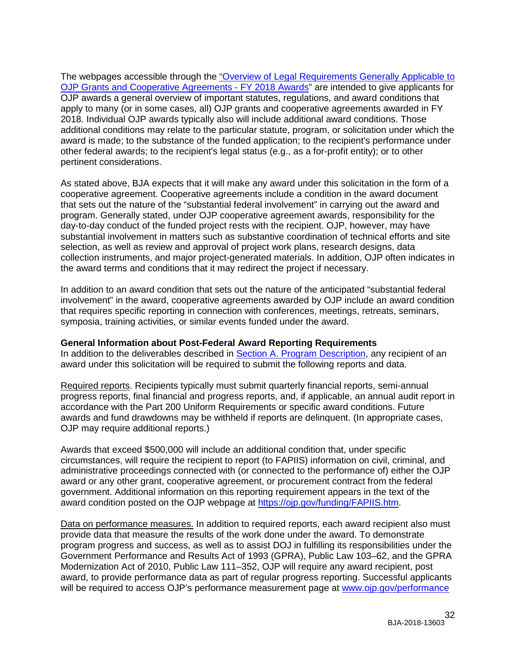The webpages accessible through the ["Overview of Legal Requirements Generally Applicable to](https://ojp.gov/funding/Explore/LegalOverview/index.htm)  [OJP Grants and Cooperative Agreements -](https://ojp.gov/funding/Explore/LegalOverview/index.htm) FY 2018 Awards" are intended to give applicants for OJP awards a general overview of important statutes, regulations, and award conditions that apply to many (or in some cases, all) OJP grants and cooperative agreements awarded in FY 2018. Individual OJP awards typically also will include additional award conditions. Those additional conditions may relate to the particular statute, program, or solicitation under which the award is made; to the substance of the funded application; to the recipient's performance under other federal awards; to the recipient's legal status (e.g., as a for-profit entity); or to other pertinent considerations.

As stated above, BJA expects that it will make any award under this solicitation in the form of a cooperative agreement. Cooperative agreements include a condition in the award document that sets out the nature of the "substantial federal involvement" in carrying out the award and program. Generally stated, under OJP cooperative agreement awards, responsibility for the day-to-day conduct of the funded project rests with the recipient. OJP, however, may have substantial involvement in matters such as substantive coordination of technical efforts and site selection, as well as review and approval of project work plans, research designs, data collection instruments, and major project-generated materials. In addition, OJP often indicates in the award terms and conditions that it may redirect the project if necessary.

In addition to an award condition that sets out the nature of the anticipated "substantial federal involvement" in the award, cooperative agreements awarded by OJP include an award condition that requires specific reporting in connection with conferences, meetings, retreats, seminars, symposia, training activities, or similar events funded under the award.

## <span id="page-31-0"></span>**General Information about Post-Federal Award Reporting Requirements**

In addition to the deliverables described in [Section A. Program Description,](#page-3-0) any recipient of an award under this solicitation will be required to submit the following reports and data.

Required reports. Recipients typically must submit quarterly financial reports, semi-annual progress reports, final financial and progress reports, and, if applicable, an annual audit report in accordance with the Part 200 Uniform Requirements or specific award conditions. Future awards and fund drawdowns may be withheld if reports are delinquent. (In appropriate cases, OJP may require additional reports.)

Awards that exceed \$500,000 will include an additional condition that, under specific circumstances, will require the recipient to report (to FAPIIS) information on civil, criminal, and administrative proceedings connected with (or connected to the performance of) either the OJP award or any other grant, cooperative agreement, or procurement contract from the federal government. Additional information on this reporting requirement appears in the text of the award condition posted on the OJP webpage at [https://ojp.gov/funding/FAPIIS.htm.](https://ojp.gov/funding/FAPIIS.htm)

Data on performance measures. In addition to required reports, each award recipient also must provide data that measure the results of the work done under the award. To demonstrate program progress and success, as well as to assist DOJ in fulfilling its responsibilities under the Government Performance and Results Act of 1993 (GPRA), Public Law 103–62, and the GPRA Modernization Act of 2010, Public Law 111–352, OJP will require any award recipient, post award, to provide performance data as part of regular progress reporting. Successful applicants will be required to access OJP's performance measurement page at [www.ojp.gov/performance](https://ojp.gov/performance/)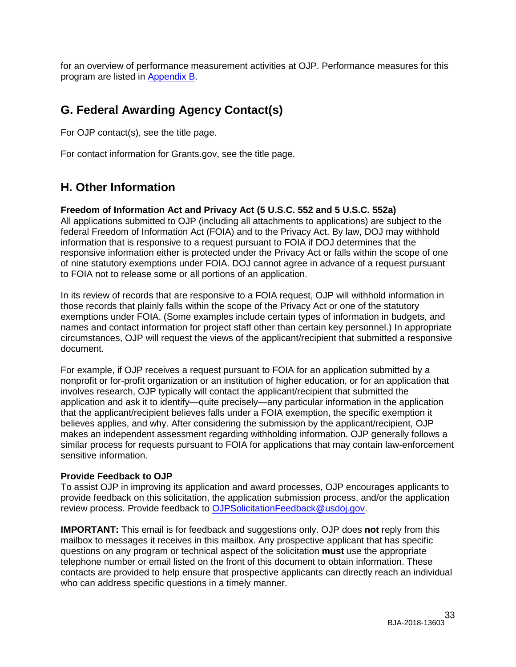for an overview of performance measurement activities at OJP. Performance measures for this program are listed in [Appendix](#page-37-0) B.

# <span id="page-32-0"></span>**G. Federal Awarding Agency Contact(s)**

For OJP contact(s), see the title page.

For contact information for Grants.gov, see the title page.

# <span id="page-32-1"></span>**H. Other Information**

## <span id="page-32-2"></span>**Freedom of Information Act and Privacy Act (5 U.S.C. 552 and 5 U.S.C. 552a)**

All applications submitted to OJP (including all attachments to applications) are subject to the federal Freedom of Information Act (FOIA) and to the Privacy Act. By law, DOJ may withhold information that is responsive to a request pursuant to FOIA if DOJ determines that the responsive information either is protected under the Privacy Act or falls within the scope of one of nine statutory exemptions under FOIA. DOJ cannot agree in advance of a request pursuant to FOIA not to release some or all portions of an application.

In its review of records that are responsive to a FOIA request, OJP will withhold information in those records that plainly falls within the scope of the Privacy Act or one of the statutory exemptions under FOIA. (Some examples include certain types of information in budgets, and names and contact information for project staff other than certain key personnel.) In appropriate circumstances, OJP will request the views of the applicant/recipient that submitted a responsive document.

For example, if OJP receives a request pursuant to FOIA for an application submitted by a nonprofit or for-profit organization or an institution of higher education, or for an application that involves research, OJP typically will contact the applicant/recipient that submitted the application and ask it to identify—quite precisely—any particular information in the application that the applicant/recipient believes falls under a FOIA exemption, the specific exemption it believes applies, and why. After considering the submission by the applicant/recipient, OJP makes an independent assessment regarding withholding information. OJP generally follows a similar process for requests pursuant to FOIA for applications that may contain law-enforcement sensitive information.

## <span id="page-32-3"></span>**Provide Feedback to OJP**

To assist OJP in improving its application and award processes, OJP encourages applicants to provide feedback on this solicitation, the application submission process, and/or the application review process. Provide feedback to [OJPSolicitationFeedback@usdoj.gov.](mailto:OJPSolicitationFeedback@usdoj.gov)

**IMPORTANT:** This email is for feedback and suggestions only. OJP does **not** reply from this mailbox to messages it receives in this mailbox. Any prospective applicant that has specific questions on any program or technical aspect of the solicitation **must** use the appropriate telephone number or email listed on the front of this document to obtain information. These contacts are provided to help ensure that prospective applicants can directly reach an individual who can address specific questions in a timely manner.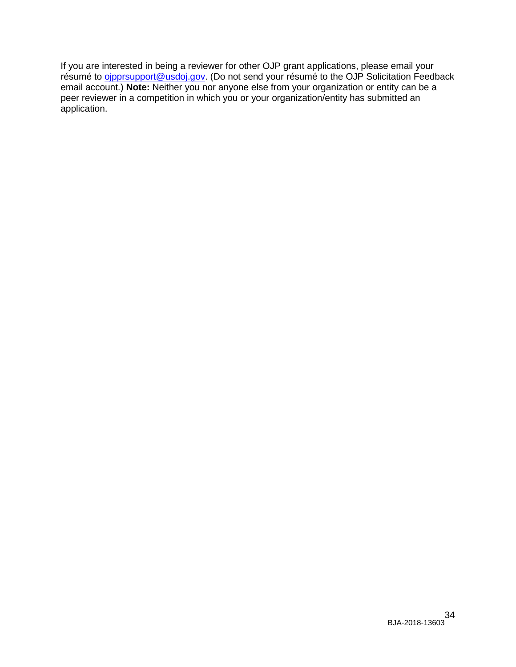If you are interested in being a reviewer for other OJP grant applications, please email your résumé to *oipprsupport@usdoj.gov.* (Do not send your résumé to the OJP Solicitation Feedback email account.) **Note:** Neither you nor anyone else from your organization or entity can be a peer reviewer in a competition in which you or your organization/entity has submitted an application.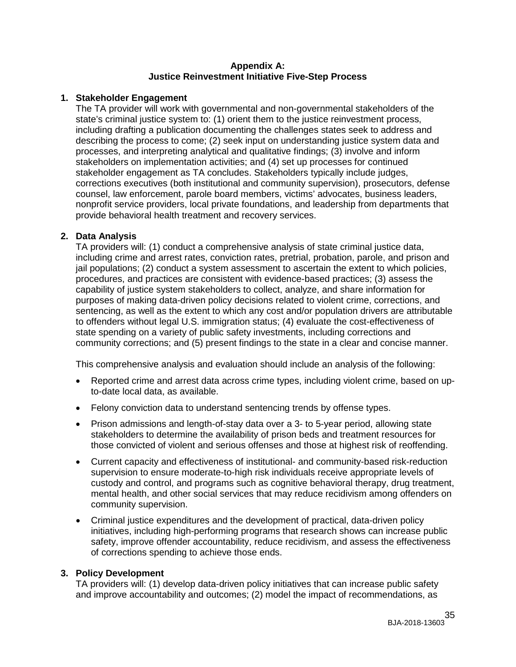#### **Appendix A: Justice Reinvestment Initiative Five-Step Process**

## <span id="page-34-0"></span>**1. Stakeholder Engagement**

The TA provider will work with governmental and non-governmental stakeholders of the state's criminal justice system to: (1) orient them to the justice reinvestment process, including drafting a publication documenting the challenges states seek to address and describing the process to come; (2) seek input on understanding justice system data and processes, and interpreting analytical and qualitative findings; (3) involve and inform stakeholders on implementation activities; and (4) set up processes for continued stakeholder engagement as TA concludes. Stakeholders typically include judges, corrections executives (both institutional and community supervision), prosecutors, defense counsel, law enforcement, parole board members, victims' advocates, business leaders, nonprofit service providers, local private foundations, and leadership from departments that provide behavioral health treatment and recovery services.

## **2. Data Analysis**

TA providers will: (1) conduct a comprehensive analysis of state criminal justice data, including crime and arrest rates, conviction rates, pretrial, probation, parole, and prison and jail populations; (2) conduct a system assessment to ascertain the extent to which policies, procedures, and practices are consistent with evidence-based practices; (3) assess the capability of justice system stakeholders to collect, analyze, and share information for purposes of making data-driven policy decisions related to violent crime, corrections, and sentencing, as well as the extent to which any cost and/or population drivers are attributable to offenders without legal U.S. immigration status; (4) evaluate the cost-effectiveness of state spending on a variety of public safety investments, including corrections and community corrections; and (5) present findings to the state in a clear and concise manner.

This comprehensive analysis and evaluation should include an analysis of the following:

- Reported crime and arrest data across crime types, including violent crime, based on upto-date local data, as available.
- Felony conviction data to understand sentencing trends by offense types.
- Prison admissions and length-of-stay data over a 3- to 5-year period, allowing state stakeholders to determine the availability of prison beds and treatment resources for those convicted of violent and serious offenses and those at highest risk of reoffending.
- Current capacity and effectiveness of institutional- and community-based risk-reduction supervision to ensure moderate-to-high risk individuals receive appropriate levels of custody and control, and programs such as cognitive behavioral therapy, drug treatment, mental health, and other social services that may reduce recidivism among offenders on community supervision.
- Criminal justice expenditures and the development of practical, data-driven policy initiatives, including high-performing programs that research shows can increase public safety, improve offender accountability, reduce recidivism, and assess the effectiveness of corrections spending to achieve those ends.

## **3. Policy Development**

TA providers will: (1) develop data-driven policy initiatives that can increase public safety and improve accountability and outcomes; (2) model the impact of recommendations, as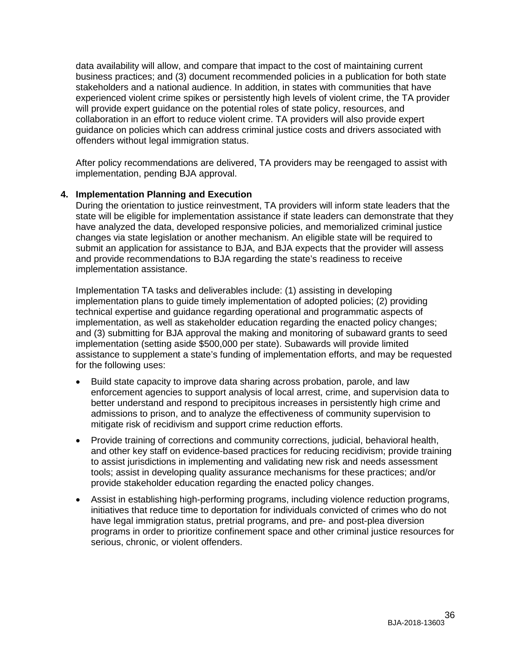data availability will allow, and compare that impact to the cost of maintaining current business practices; and (3) document recommended policies in a publication for both state stakeholders and a national audience. In addition, in states with communities that have experienced violent crime spikes or persistently high levels of violent crime, the TA provider will provide expert guidance on the potential roles of state policy, resources, and collaboration in an effort to reduce violent crime. TA providers will also provide expert guidance on policies which can address criminal justice costs and drivers associated with offenders without legal immigration status.

After policy recommendations are delivered, TA providers may be reengaged to assist with implementation, pending BJA approval.

## **4. Implementation Planning and Execution**

During the orientation to justice reinvestment, TA providers will inform state leaders that the state will be eligible for implementation assistance if state leaders can demonstrate that they have analyzed the data, developed responsive policies, and memorialized criminal justice changes via state legislation or another mechanism. An eligible state will be required to submit an application for assistance to BJA, and BJA expects that the provider will assess and provide recommendations to BJA regarding the state's readiness to receive implementation assistance.

Implementation TA tasks and deliverables include: (1) assisting in developing implementation plans to guide timely implementation of adopted policies; (2) providing technical expertise and guidance regarding operational and programmatic aspects of implementation, as well as stakeholder education regarding the enacted policy changes; and (3) submitting for BJA approval the making and monitoring of subaward grants to seed implementation (setting aside \$500,000 per state). Subawards will provide limited assistance to supplement a state's funding of implementation efforts, and may be requested for the following uses:

- Build state capacity to improve data sharing across probation, parole, and law enforcement agencies to support analysis of local arrest, crime, and supervision data to better understand and respond to precipitous increases in persistently high crime and admissions to prison, and to analyze the effectiveness of community supervision to mitigate risk of recidivism and support crime reduction efforts.
- Provide training of corrections and community corrections, judicial, behavioral health, and other key staff on evidence-based practices for reducing recidivism; provide training to assist jurisdictions in implementing and validating new risk and needs assessment tools; assist in developing quality assurance mechanisms for these practices; and/or provide stakeholder education regarding the enacted policy changes.
- Assist in establishing high-performing programs, including violence reduction programs, initiatives that reduce time to deportation for individuals convicted of crimes who do not have legal immigration status, pretrial programs, and pre- and post-plea diversion programs in order to prioritize confinement space and other criminal justice resources for serious, chronic, or violent offenders.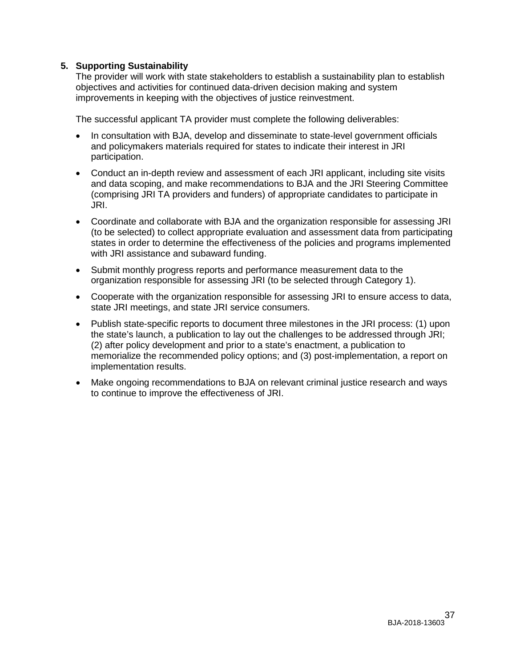## **5. Supporting Sustainability**

The provider will work with state stakeholders to establish a sustainability plan to establish objectives and activities for continued data-driven decision making and system improvements in keeping with the objectives of justice reinvestment.

The successful applicant TA provider must complete the following deliverables:

- In consultation with BJA, develop and disseminate to state-level government officials and policymakers materials required for states to indicate their interest in JRI participation.
- Conduct an in-depth review and assessment of each JRI applicant, including site visits and data scoping, and make recommendations to BJA and the JRI Steering Committee (comprising JRI TA providers and funders) of appropriate candidates to participate in JRI.
- Coordinate and collaborate with BJA and the organization responsible for assessing JRI (to be selected) to collect appropriate evaluation and assessment data from participating states in order to determine the effectiveness of the policies and programs implemented with JRI assistance and subaward funding.
- Submit monthly progress reports and performance measurement data to the organization responsible for assessing JRI (to be selected through Category 1).
- Cooperate with the organization responsible for assessing JRI to ensure access to data, state JRI meetings, and state JRI service consumers.
- Publish state-specific reports to document three milestones in the JRI process: (1) upon the state's launch, a publication to lay out the challenges to be addressed through JRI; (2) after policy development and prior to a state's enactment, a publication to memorialize the recommended policy options; and (3) post-implementation, a report on implementation results.
- Make ongoing recommendations to BJA on relevant criminal justice research and ways to continue to improve the effectiveness of JRI.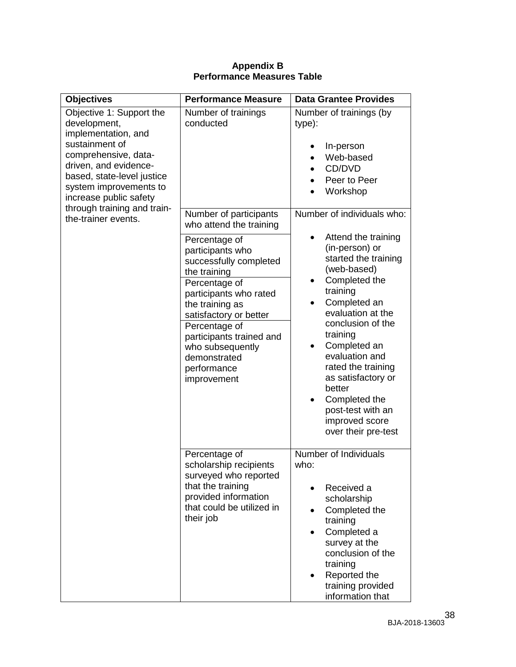<span id="page-37-0"></span>

| <b>Objectives</b>                                                                                                                                                                                                    | <b>Performance Measure</b>                                                                                                                                                                                                                                                         | <b>Data Grantee Provides</b>                                                                                                                                                                                                                                                                                                                                                                  |
|----------------------------------------------------------------------------------------------------------------------------------------------------------------------------------------------------------------------|------------------------------------------------------------------------------------------------------------------------------------------------------------------------------------------------------------------------------------------------------------------------------------|-----------------------------------------------------------------------------------------------------------------------------------------------------------------------------------------------------------------------------------------------------------------------------------------------------------------------------------------------------------------------------------------------|
| Objective 1: Support the<br>development,<br>implementation, and<br>sustainment of<br>comprehensive, data-<br>driven, and evidence-<br>based, state-level justice<br>system improvements to<br>increase public safety | Number of trainings<br>conducted                                                                                                                                                                                                                                                   | Number of trainings (by<br>type):<br>In-person<br>Web-based<br>CD/DVD<br>Peer to Peer<br>Workshop                                                                                                                                                                                                                                                                                             |
| through training and train-<br>the-trainer events.                                                                                                                                                                   | Number of participants<br>who attend the training                                                                                                                                                                                                                                  | Number of individuals who:                                                                                                                                                                                                                                                                                                                                                                    |
|                                                                                                                                                                                                                      | Percentage of<br>participants who<br>successfully completed<br>the training<br>Percentage of<br>participants who rated<br>the training as<br>satisfactory or better<br>Percentage of<br>participants trained and<br>who subsequently<br>demonstrated<br>performance<br>improvement | Attend the training<br>(in-person) or<br>started the training<br>(web-based)<br>Completed the<br>$\bullet$<br>training<br>Completed an<br>evaluation at the<br>conclusion of the<br>training<br>Completed an<br>$\bullet$<br>evaluation and<br>rated the training<br>as satisfactory or<br>better<br>Completed the<br>$\bullet$<br>post-test with an<br>improved score<br>over their pre-test |
|                                                                                                                                                                                                                      | Percentage of<br>scholarship recipients<br>surveyed who reported<br>that the training<br>provided information<br>that could be utilized in<br>their job                                                                                                                            | Number of Individuals<br>who:<br>Received a<br>scholarship<br>Completed the<br>training<br>Completed a<br>٠<br>survey at the<br>conclusion of the<br>training<br>Reported the<br>training provided<br>information that                                                                                                                                                                        |

## **Appendix B Performance Measures Table**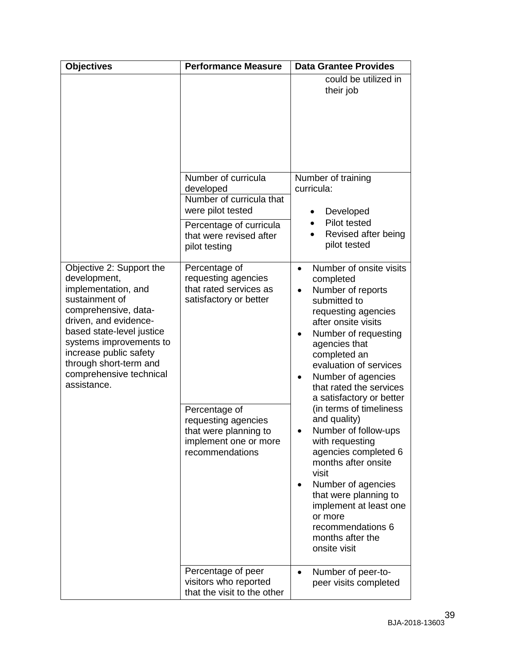| <b>Objectives</b>                                                                                                                                                                                                                                                                        | <b>Performance Measure</b>                                                                                                                                                                            | <b>Data Grantee Provides</b>                                                                                                                                                                                                                                                                                                                                                                                                                                                                                                                                                                                                   |
|------------------------------------------------------------------------------------------------------------------------------------------------------------------------------------------------------------------------------------------------------------------------------------------|-------------------------------------------------------------------------------------------------------------------------------------------------------------------------------------------------------|--------------------------------------------------------------------------------------------------------------------------------------------------------------------------------------------------------------------------------------------------------------------------------------------------------------------------------------------------------------------------------------------------------------------------------------------------------------------------------------------------------------------------------------------------------------------------------------------------------------------------------|
|                                                                                                                                                                                                                                                                                          | Number of curricula                                                                                                                                                                                   | could be utilized in<br>their job<br>Number of training                                                                                                                                                                                                                                                                                                                                                                                                                                                                                                                                                                        |
|                                                                                                                                                                                                                                                                                          | developed<br>Number of curricula that                                                                                                                                                                 | curricula:                                                                                                                                                                                                                                                                                                                                                                                                                                                                                                                                                                                                                     |
|                                                                                                                                                                                                                                                                                          | were pilot tested<br>Percentage of curricula<br>that were revised after<br>pilot testing                                                                                                              | Developed<br>$\bullet$<br><b>Pilot tested</b><br>Revised after being<br>pilot tested                                                                                                                                                                                                                                                                                                                                                                                                                                                                                                                                           |
| Objective 2: Support the<br>development,<br>implementation, and<br>sustainment of<br>comprehensive, data-<br>driven, and evidence-<br>based state-level justice<br>systems improvements to<br>increase public safety<br>through short-term and<br>comprehensive technical<br>assistance. | Percentage of<br>requesting agencies<br>that rated services as<br>satisfactory or better<br>Percentage of<br>requesting agencies<br>that were planning to<br>implement one or more<br>recommendations | Number of onsite visits<br>$\bullet$<br>completed<br>Number of reports<br>$\bullet$<br>submitted to<br>requesting agencies<br>after onsite visits<br>Number of requesting<br>agencies that<br>completed an<br>evaluation of services<br>Number of agencies<br>٠<br>that rated the services<br>a satisfactory or better<br>(in terms of timeliness<br>and quality)<br>Number of follow-ups<br>with requesting<br>agencies completed 6<br>months after onsite<br>visit<br>Number of agencies<br>$\bullet$<br>that were planning to<br>implement at least one<br>or more<br>recommendations 6<br>months after the<br>onsite visit |
|                                                                                                                                                                                                                                                                                          | Percentage of peer<br>visitors who reported<br>that the visit to the other                                                                                                                            | Number of peer-to-<br>$\bullet$<br>peer visits completed                                                                                                                                                                                                                                                                                                                                                                                                                                                                                                                                                                       |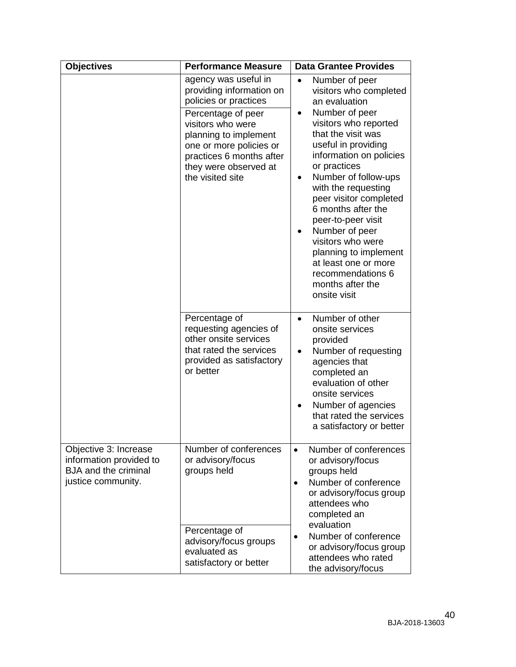| <b>Objectives</b>                                                                                     | <b>Performance Measure</b>                                                                                                                                                                                                                        | <b>Data Grantee Provides</b>                                                                                                                                                                                                                                                                                                                                                                                                                                                                      |
|-------------------------------------------------------------------------------------------------------|---------------------------------------------------------------------------------------------------------------------------------------------------------------------------------------------------------------------------------------------------|---------------------------------------------------------------------------------------------------------------------------------------------------------------------------------------------------------------------------------------------------------------------------------------------------------------------------------------------------------------------------------------------------------------------------------------------------------------------------------------------------|
|                                                                                                       | agency was useful in<br>providing information on<br>policies or practices<br>Percentage of peer<br>visitors who were<br>planning to implement<br>one or more policies or<br>practices 6 months after<br>they were observed at<br>the visited site | Number of peer<br>$\bullet$<br>visitors who completed<br>an evaluation<br>Number of peer<br>٠<br>visitors who reported<br>that the visit was<br>useful in providing<br>information on policies<br>or practices<br>Number of follow-ups<br>with the requesting<br>peer visitor completed<br>6 months after the<br>peer-to-peer visit<br>Number of peer<br>$\bullet$<br>visitors who were<br>planning to implement<br>at least one or more<br>recommendations 6<br>months after the<br>onsite visit |
|                                                                                                       | Percentage of<br>requesting agencies of<br>other onsite services<br>that rated the services<br>provided as satisfactory<br>or better                                                                                                              | Number of other<br>٠<br>onsite services<br>provided<br>Number of requesting<br>$\bullet$<br>agencies that<br>completed an<br>evaluation of other<br>onsite services<br>Number of agencies<br>that rated the services<br>a satisfactory or better                                                                                                                                                                                                                                                  |
| Objective 3: Increase<br>information provided to<br><b>BJA</b> and the criminal<br>justice community. | Number of conferences<br>or advisory/focus<br>groups held<br>Percentage of<br>advisory/focus groups<br>evaluated as<br>satisfactory or better                                                                                                     | Number of conferences<br>$\bullet$<br>or advisory/focus<br>groups held<br>Number of conference<br>$\bullet$<br>or advisory/focus group<br>attendees who<br>completed an<br>evaluation<br>Number of conference<br>$\bullet$<br>or advisory/focus group<br>attendees who rated<br>the advisory/focus                                                                                                                                                                                                |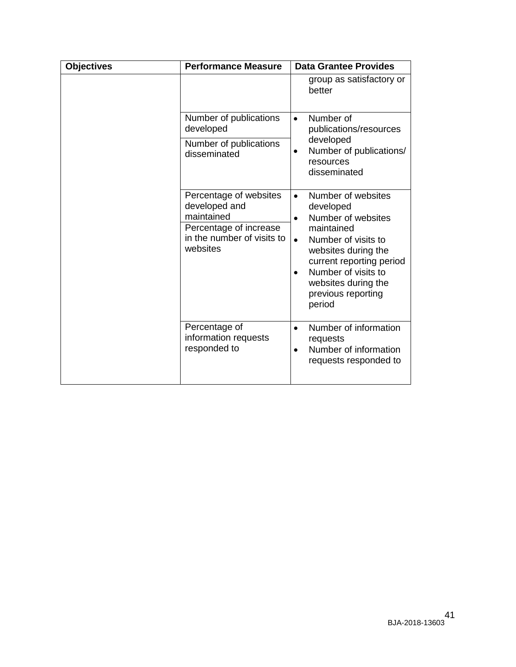| <b>Objectives</b> | <b>Performance Measure</b>                                                                                                | <b>Data Grantee Provides</b>                                                                                                                                                                                                                                       |
|-------------------|---------------------------------------------------------------------------------------------------------------------------|--------------------------------------------------------------------------------------------------------------------------------------------------------------------------------------------------------------------------------------------------------------------|
|                   |                                                                                                                           | group as satisfactory or<br>better                                                                                                                                                                                                                                 |
|                   | Number of publications<br>developed                                                                                       | Number of<br>$\bullet$<br>publications/resources                                                                                                                                                                                                                   |
|                   | Number of publications<br>disseminated                                                                                    | developed<br>Number of publications/<br>$\bullet$<br>resources<br>disseminated                                                                                                                                                                                     |
|                   | Percentage of websites<br>developed and<br>maintained<br>Percentage of increase<br>in the number of visits to<br>websites | Number of websites<br>$\bullet$<br>developed<br>Number of websites<br>$\bullet$<br>maintained<br>Number of visits to<br>$\bullet$<br>websites during the<br>current reporting period<br>Number of visits to<br>websites during the<br>previous reporting<br>period |
|                   | Percentage of<br>information requests<br>responded to                                                                     | Number of information<br>$\bullet$<br>requests<br>Number of information<br>$\bullet$<br>requests responded to                                                                                                                                                      |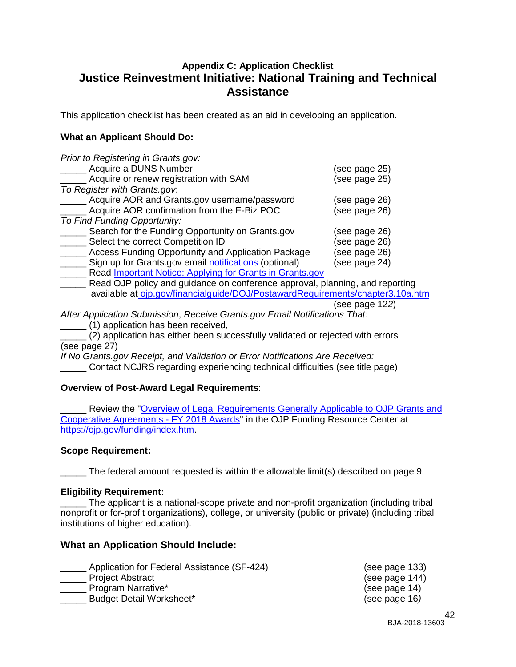## <span id="page-41-0"></span>**Appendix C: Application Checklist Justice Reinvestment Initiative: National Training and Technical Assistance**

This application checklist has been created as an aid in developing an application.

## **What an Applicant Should Do:**

| Prior to Registering in Grants.gov:                                                  |               |
|--------------------------------------------------------------------------------------|---------------|
| Acquire a DUNS Number                                                                | (see page 25) |
| Acquire or renew registration with SAM                                               | (see page 25) |
| To Register with Grants.gov.                                                         |               |
| Acquire AOR and Grants.gov username/password                                         | (see page 26) |
| Acquire AOR confirmation from the E-Biz POC                                          | (see page 26) |
| To Find Funding Opportunity:                                                         |               |
| Search for the Funding Opportunity on Grants.gov                                     | (see page 26) |
| Select the correct Competition ID                                                    | (see page 26) |
| <b>Access Funding Opportunity and Application Package</b>                            | (see page 26) |
| Sign up for Grants.gov email notifications (optional)                                | (see page 24) |
| Read Important Notice: Applying for Grants in Grants.gov                             |               |
| $\Box$ gad $\bigcap$ ID naligy and quidence an eapferance approval planning and repe |               |

*\_\_\_\_\_* Read OJP policy and guidance on conference approval, planning, and reporting available at [ojp.gov/financialguide/DOJ/PostawardRequirements/chapter3.10a.htm](https://ojp.gov/financialguide/DOJ/PostawardRequirements/chapter3.10a.htm)

(see page [12](#page-11-1)*2*)

*After Application Submission*, *Receive Grants.gov Email Notifications That:*

\_\_\_\_\_ (1) application has been received,

\_\_\_\_\_ (2) application has either been successfully validated or rejected with errors (see page 27)

*If No Grants.gov Receipt, and Validation or Error Notifications Are Received:*

\_\_\_\_\_ Contact NCJRS regarding experiencing technical difficulties (see title page)

## **Overview of Post-Award Legal Requirements**:

Review the "Overview of Legal Requirements Generally Applicable to OJP Grants and [Cooperative Agreements -](https://ojp.gov/funding/Explore/LegalOverview/index.htm) FY 2018 Awards" in the OJP Funding Resource Center at [https://ojp.gov/funding/index.htm.](https://ojp.gov/funding/index.htm)

## **Scope Requirement:**

The federal amount requested is within the allowable limit(s) described on page 9.

## **Eligibility Requirement:**

The applicant is a national-scope private and non-profit organization (including tribal nonprofit or for-profit organizations), college, or university (public or private) (including tribal institutions of higher education).

## **What an Application Should Include:**

- \_\_\_\_\_ Application for Federal Assistance (SF-424) (see page [133](#page-12-3))
- 

**\_\_\_\_\_\_** Program Narrative\*

\_\_\_\_\_ Budget Detail Worksheet\* (see page 16*)*

\_\_\_\_\_\_ Project Abstract (see page [144](#page-13-0))<br>
Program Narrative\* (see page 14)